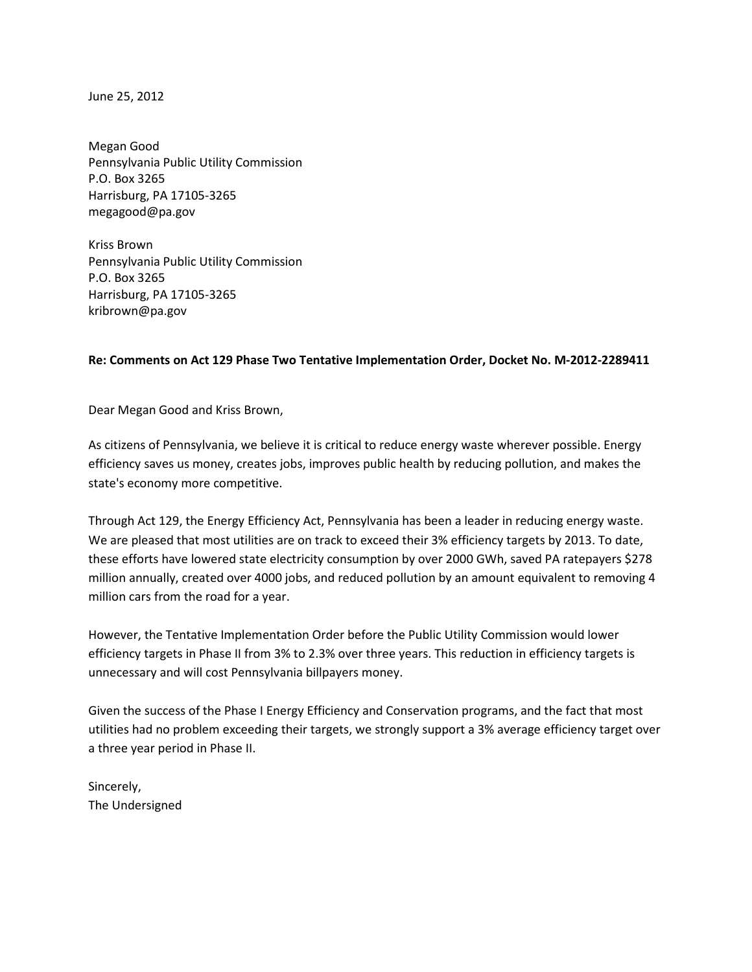June 25, 2012

Megan Good Pennsylvania Public Utility Commission P.O. Box 3265 Harrisburg, PA 17105-3265 megagood@pa.gov

Kriss Brown Pennsylvania Public Utility Commission P.O. Box 3265 Harrisburg, PA 17105-3265 kribrown@pa.gov

## Re: Comments on Act 129 Phase Two Tentative Implementation Order, Docket No. M-2012-2289411

Dear Megan Good and Kriss Brown,

As citizens of Pennsylvania, we believe it is critical to reduce energy waste wherever possible. Energy efficiency saves us money, creates jobs, improves public health by reducing pollution, and makes the state's economy more competitive.

Through Act 129, the Energy Efficiency Act, Pennsylvania has been a leader in reducing energy waste. We are pleased that most utilities are on track to exceed their 3% efficiency targets by 2013. To date, these efforts have lowered state electricity consumption by over 2000 GWh, saved PA ratepayers \$278 million annually, created over 4000 jobs, and reduced pollution by an amount equivalent to removing 4 million cars from the road for a year.

However, the Tentative Implementation Order before the Public Utility Commission would lower efficiency targets in Phase II from 3% to 2.3% over three years. This reduction in efficiency targets is unnecessary and will cost Pennsylvania billpayers money.

Given the success of the Phase I Energy Efficiency and Conservation programs, and the fact that most utilities had no problem exceeding their targets, we strongly support a 3% average efficiency target over a three year period in Phase II.

Sincerely, The Undersigned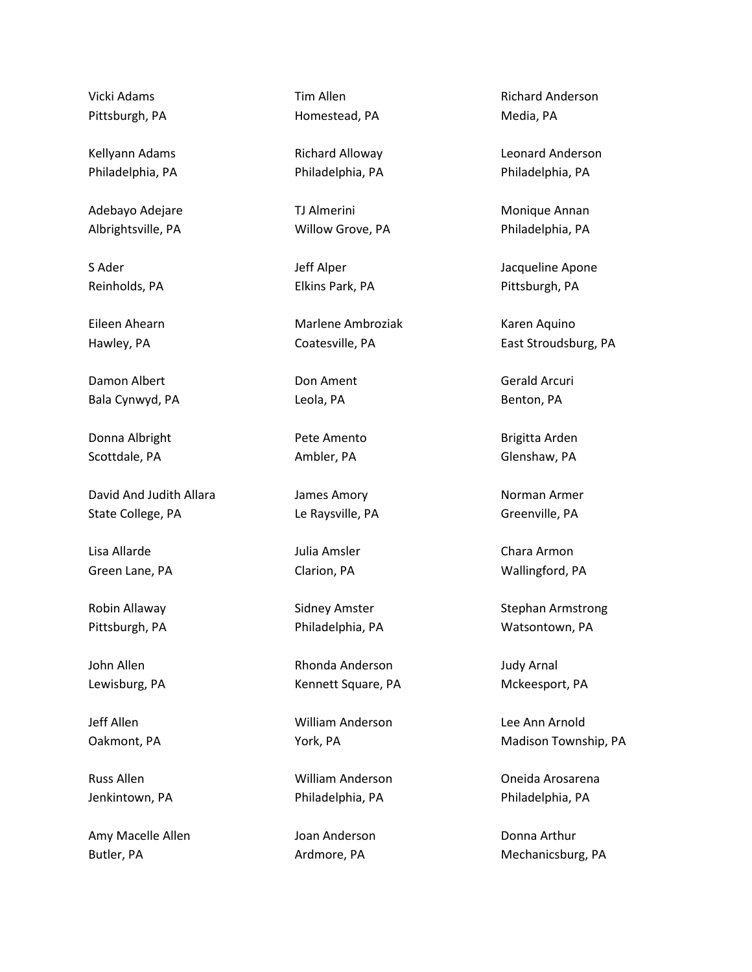Vicki Adams Pittsburgh, PA

Kellyann Adams Philadelphia, PA

Adebayo Adejare Albrightsville, PA

S Ader Reinholds, PA

Eileen Ahearn Hawley, PA

Damon Albert Bala Cynwyd, PA

Donna Albright Scottdale, PA

David And Judith Allara State College, PA

Lisa Allarde Green Lane, PA

Robin Allaway Pittsburgh, PA

John Allen Lewisburg, PA

Jeff Allen Oakmont, PA

Russ Allen Jenkintown, PA

Amy Macelle Allen Butler, PA

Tim Allen Homestead, PA

Richard Alloway Philadelphia, PA

TJ Almerini Willow Grove, PA

Jeff Alper Elkins Park, PA

Marlene Ambroziak Coatesville, PA

Don Ament Leola, PA

Pete Amento Ambler, PA

James Amory Le Raysville, PA

Julia Amsler Clarion, PA

Sidney Amster Philadelphia, PA

Rhonda Anderson Kennett Square, PA

William Anderson York, PA

William Anderson Philadelphia, PA

Joan Anderson Ardmore, PA

Richard Anderson Media, PA

Leonard Anderson Philadelphia, PA

Monique Annan Philadelphia, PA

Jacqueline Apone Pittsburgh, PA

Karen Aquino East Stroudsburg, PA

Gerald Arcuri Benton, PA

Brigitta Arden Glenshaw, PA

Norman Armer Greenville, PA

Chara Armon Wallingford, PA

Stephan Armstrong Watsontown, PA

Judy Arnal Mckeesport, PA

Lee Ann Arnold Madison Township, PA

Oneida Arosarena Philadelphia, PA

Donna Arthur Mechanicsburg, PA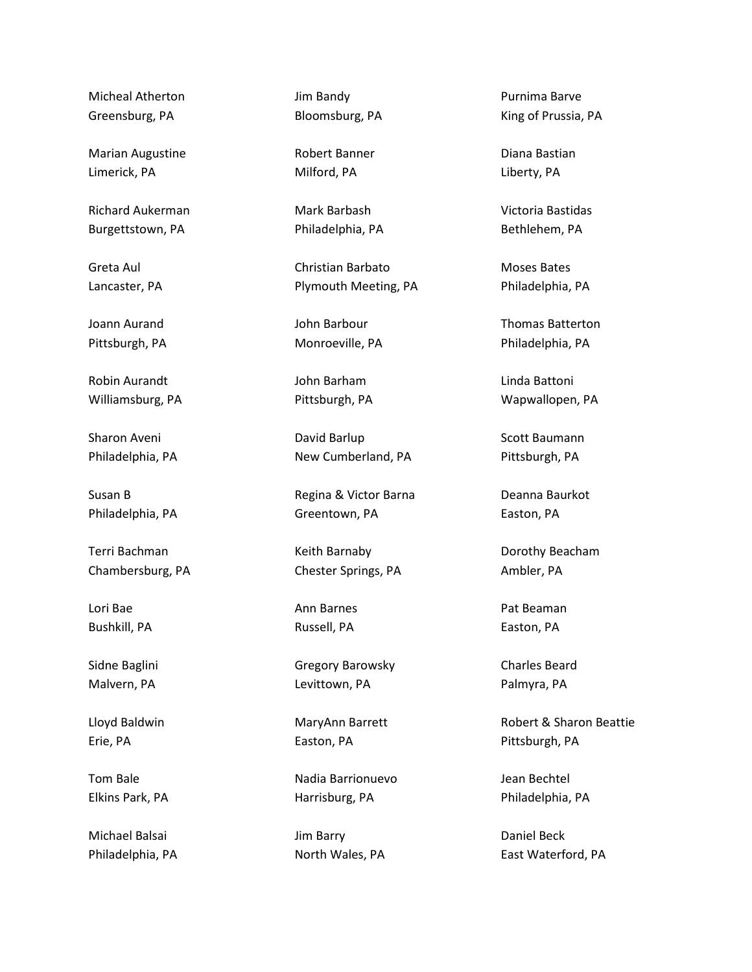Micheal Atherton Greensburg, PA

Marian Augustine Limerick, PA

Richard Aukerman Burgettstown, PA

Greta Aul Lancaster, PA

Joann Aurand Pittsburgh, PA

Robin Aurandt Williamsburg, PA

Sharon Aveni Philadelphia, PA

Susan B Philadelphia, PA

Terri Bachman Chambersburg, PA

Lori Bae Bushkill, PA

Sidne Baglini Malvern, PA

Lloyd Baldwin Erie, PA

Tom Bale Elkins Park, PA

Michael Balsai Philadelphia, PA Jim Bandy Bloomsburg, PA

Robert Banner Milford, PA

Mark Barbash Philadelphia, PA

Christian Barbato Plymouth Meeting, PA

John Barbour Monroeville, PA

John Barham Pittsburgh, PA

David Barlup New Cumberland, PA

Regina & Victor Barna Greentown, PA

Keith Barnaby Chester Springs, PA

Ann Barnes Russell, PA

Gregory Barowsky Levittown, PA

MaryAnn Barrett Easton, PA

Nadia Barrionuevo Harrisburg, PA

Jim Barry North Wales, PA

Purnima Barve King of Prussia, PA

Diana Bastian Liberty, PA

Victoria Bastidas Bethlehem, PA

Moses Bates Philadelphia, PA

Thomas Batterton Philadelphia, PA

Linda Battoni Wapwallopen, PA

Scott Baumann Pittsburgh, PA

Deanna Baurkot Easton, PA

Dorothy Beacham Ambler, PA

Pat Beaman Easton, PA

Charles Beard Palmyra, PA

Robert & Sharon Beattie Pittsburgh, PA

Jean Bechtel Philadelphia, PA

Daniel Beck East Waterford, PA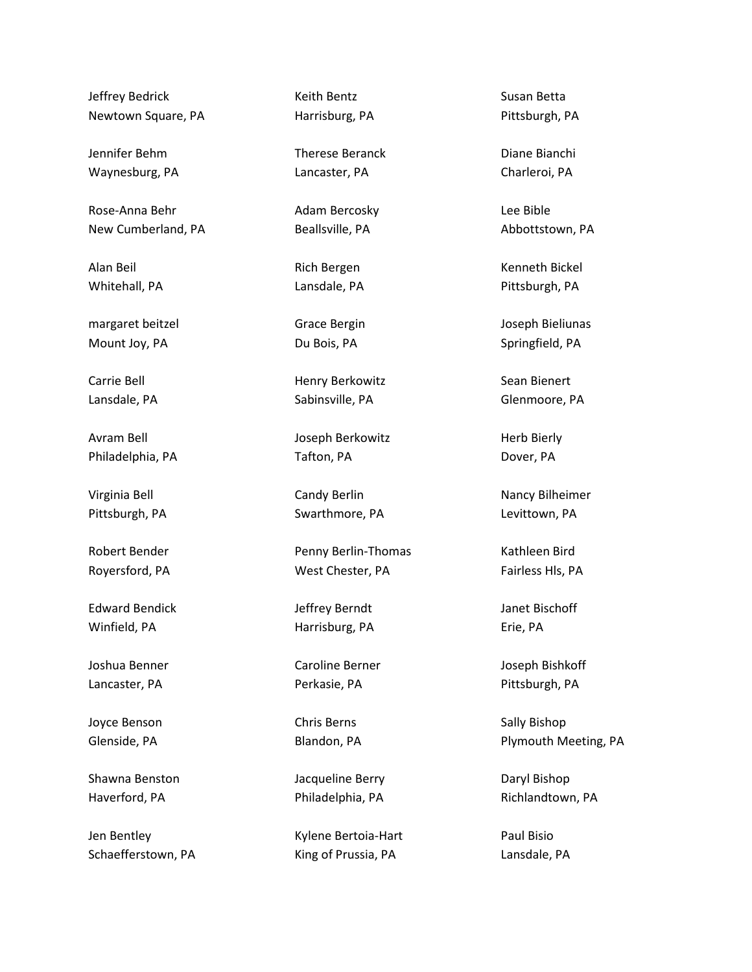Jeffrey Bedrick Newtown Square, PA

Jennifer Behm Waynesburg, PA

Rose-Anna Behr New Cumberland, PA

Alan Beil Whitehall, PA

margaret beitzel Mount Joy, PA

Carrie Bell Lansdale, PA

Avram Bell Philadelphia, PA

Virginia Bell Pittsburgh, PA

Robert Bender Royersford, PA

Edward Bendick Winfield, PA

Joshua Benner Lancaster, PA

Joyce Benson Glenside, PA

Shawna Benston Haverford, PA

Jen Bentley Schaefferstown, PA Keith Bentz Harrisburg, PA

Therese Beranck Lancaster, PA

Adam Bercosky Beallsville, PA

Rich Bergen Lansdale, PA

Grace Bergin Du Bois, PA

Henry Berkowitz Sabinsville, PA

Joseph Berkowitz Tafton, PA

Candy Berlin Swarthmore, PA

Penny Berlin-Thomas West Chester, PA

Jeffrey Berndt Harrisburg, PA

Caroline Berner Perkasie, PA

Chris Berns Blandon, PA

Jacqueline Berry Philadelphia, PA

Kylene Bertoia-Hart King of Prussia, PA

Susan Betta Pittsburgh, PA

Diane Bianchi Charleroi, PA

Lee Bible Abbottstown, PA

Kenneth Bickel Pittsburgh, PA

Joseph Bieliunas Springfield, PA

Sean Bienert Glenmoore, PA

Herb Bierly Dover, PA

Nancy Bilheimer Levittown, PA

Kathleen Bird Fairless Hls, PA

Janet Bischoff Erie, PA

Joseph Bishkoff Pittsburgh, PA

Sally Bishop Plymouth Meeting, PA

Daryl Bishop Richlandtown, PA

Paul Bisio Lansdale, PA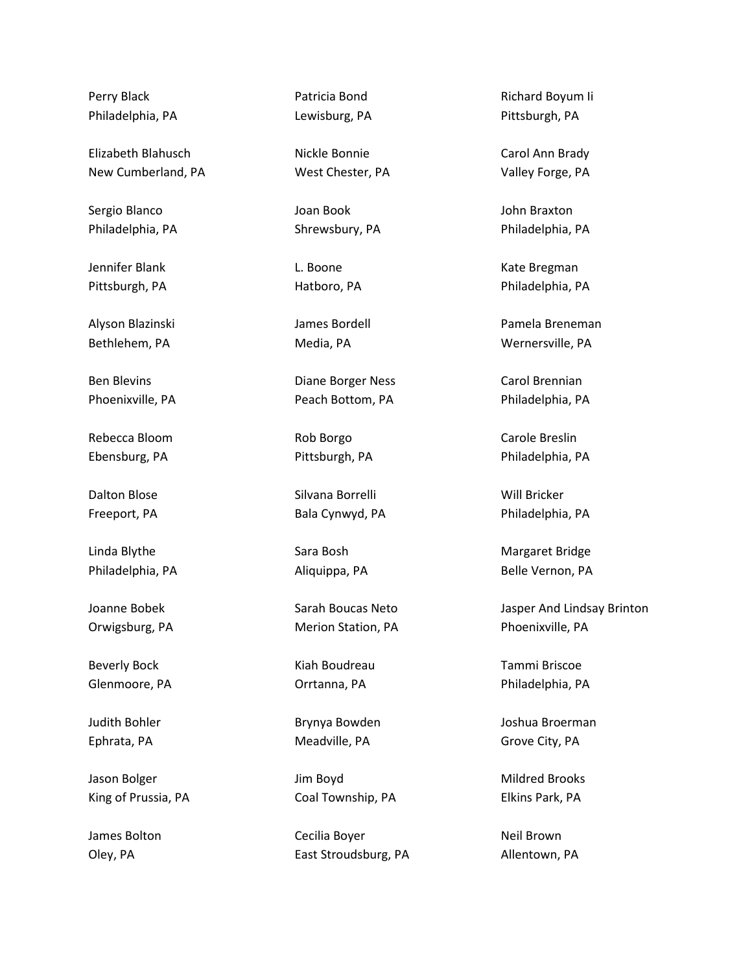Perry Black Philadelphia, PA

Elizabeth Blahusch New Cumberland, PA

Sergio Blanco Philadelphia, PA

Jennifer Blank Pittsburgh, PA

Alyson Blazinski Bethlehem, PA

Ben Blevins Phoenixville, PA

Rebecca Bloom Ebensburg, PA

Dalton Blose Freeport, PA

Linda Blythe Philadelphia, PA

Joanne Bobek Orwigsburg, PA

Beverly Bock Glenmoore, PA

Judith Bohler Ephrata, PA

Jason Bolger King of Prussia, PA

James Bolton Oley, PA

Patricia Bond Lewisburg, PA

Nickle Bonnie West Chester, PA

Joan Book Shrewsbury, PA

L. Boone Hatboro, PA

James Bordell Media, PA

Diane Borger Ness Peach Bottom, PA

Rob Borgo Pittsburgh, PA

Silvana Borrelli Bala Cynwyd, PA

Sara Bosh Aliquippa, PA

Sarah Boucas Neto Merion Station, PA

Kiah Boudreau Orrtanna, PA

Brynya Bowden Meadville, PA

Jim Boyd Coal Township, PA

Cecilia Boyer East Stroudsburg, PA

Richard Boyum Ii Pittsburgh, PA

Carol Ann Brady Valley Forge, PA

John Braxton Philadelphia, PA

Kate Bregman Philadelphia, PA

Pamela Breneman Wernersville, PA

Carol Brennian Philadelphia, PA

Carole Breslin Philadelphia, PA

Will Bricker Philadelphia, PA

Margaret Bridge Belle Vernon, PA

Jasper And Lindsay Brinton Phoenixville, PA

Tammi Briscoe Philadelphia, PA

Joshua Broerman Grove City, PA

Mildred Brooks Elkins Park, PA

Neil Brown Allentown, PA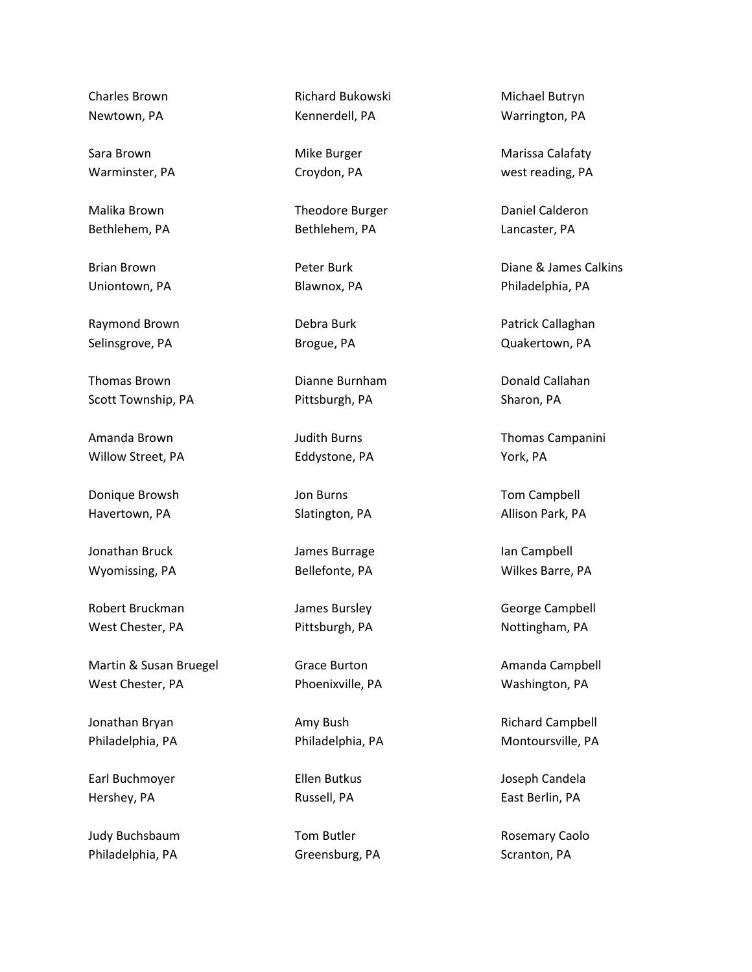Charles Brown Newtown, PA

Sara Brown Warminster, PA

Malika Brown Bethlehem, PA

Brian Brown Uniontown, PA

Raymond Brown Selinsgrove, PA

Thomas Brown Scott Township, PA

Amanda Brown Willow Street, PA

Donique Browsh Havertown, PA

Jonathan Bruck Wyomissing, PA

Robert Bruckman West Chester, PA

Martin & Susan Bruegel West Chester, PA

Jonathan Bryan Philadelphia, PA

Earl Buchmoyer Hershey, PA

Judy Buchsbaum Philadelphia, PA

Richard Bukowski Kennerdell, PA

Mike Burger Croydon, PA

Theodore Burger Bethlehem, PA

Peter Burk Blawnox, PA

Debra Burk Brogue, PA

Dianne Burnham Pittsburgh, PA

Judith Burns Eddystone, PA

Jon Burns Slatington, PA

James Burrage Bellefonte, PA

James Bursley Pittsburgh, PA

Grace Burton Phoenixville, PA

Amy Bush Philadelphia, PA

Ellen Butkus Russell, PA

Tom Butler Greensburg, PA

Michael Butryn Warrington, PA

Marissa Calafaty west reading, PA

Daniel Calderon Lancaster, PA

Diane & James Calkins Philadelphia, PA

Patrick Callaghan Quakertown, PA

Donald Callahan Sharon, PA

Thomas Campanini York, PA

Tom Campbell Allison Park, PA

Ian Campbell Wilkes Barre, PA

George Campbell Nottingham, PA

Amanda Campbell Washington, PA

Richard Campbell Montoursville, PA

Joseph Candela East Berlin, PA

Rosemary Caolo Scranton, PA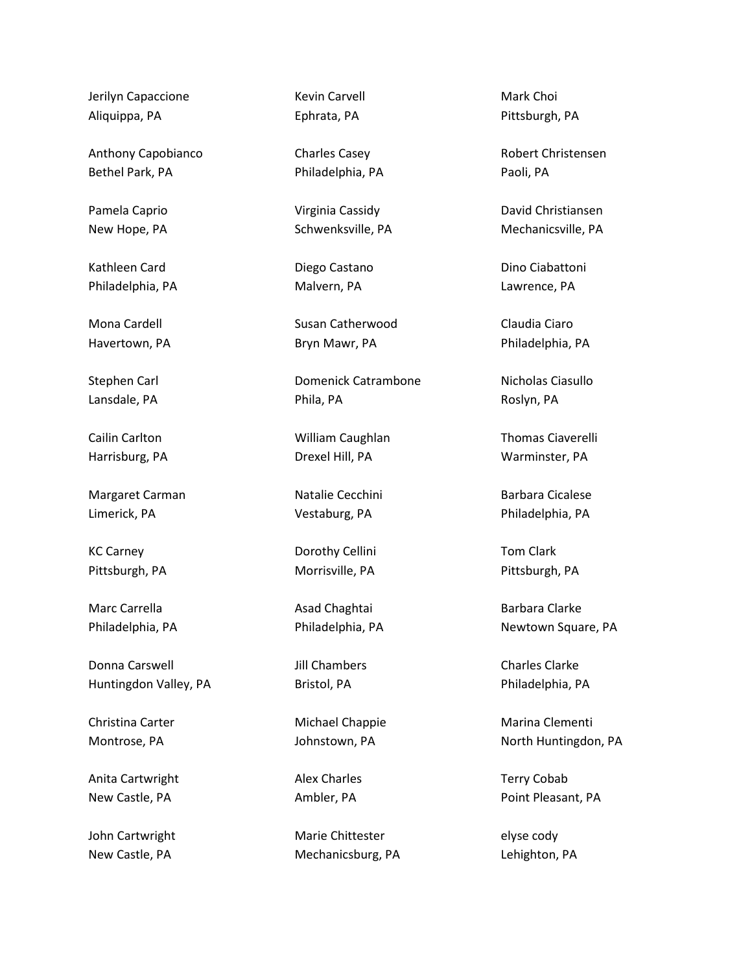Jerilyn Capaccione Aliquippa, PA

Anthony Capobianco Bethel Park, PA

Pamela Caprio New Hope, PA

Kathleen Card Philadelphia, PA

Mona Cardell Havertown, PA

Stephen Carl Lansdale, PA

Cailin Carlton Harrisburg, PA

Margaret Carman Limerick, PA

KC Carney Pittsburgh, PA

Marc Carrella Philadelphia, PA

Donna Carswell Huntingdon Valley, PA

Christina Carter Montrose, PA

Anita Cartwright New Castle, PA

John Cartwright New Castle, PA

Kevin Carvell Ephrata, PA

Charles Casey Philadelphia, PA

Virginia Cassidy Schwenksville, PA

Diego Castano Malvern, PA

Susan Catherwood Bryn Mawr, PA

Domenick Catrambone Phila, PA

William Caughlan Drexel Hill, PA

Natalie Cecchini Vestaburg, PA

Dorothy Cellini Morrisville, PA

Asad Chaghtai Philadelphia, PA

Jill Chambers Bristol, PA

Michael Chappie Johnstown, PA

Alex Charles Ambler, PA

Marie Chittester Mechanicsburg, PA

Mark Choi Pittsburgh, PA

Robert Christensen Paoli, PA

David Christiansen Mechanicsville, PA

Dino Ciabattoni Lawrence, PA

Claudia Ciaro Philadelphia, PA

Nicholas Ciasullo Roslyn, PA

Thomas Ciaverelli Warminster, PA

Barbara Cicalese Philadelphia, PA

Tom Clark Pittsburgh, PA

Barbara Clarke Newtown Square, PA

Charles Clarke Philadelphia, PA

Marina Clementi North Huntingdon, PA

Terry Cobab Point Pleasant, PA

elyse cody Lehighton, PA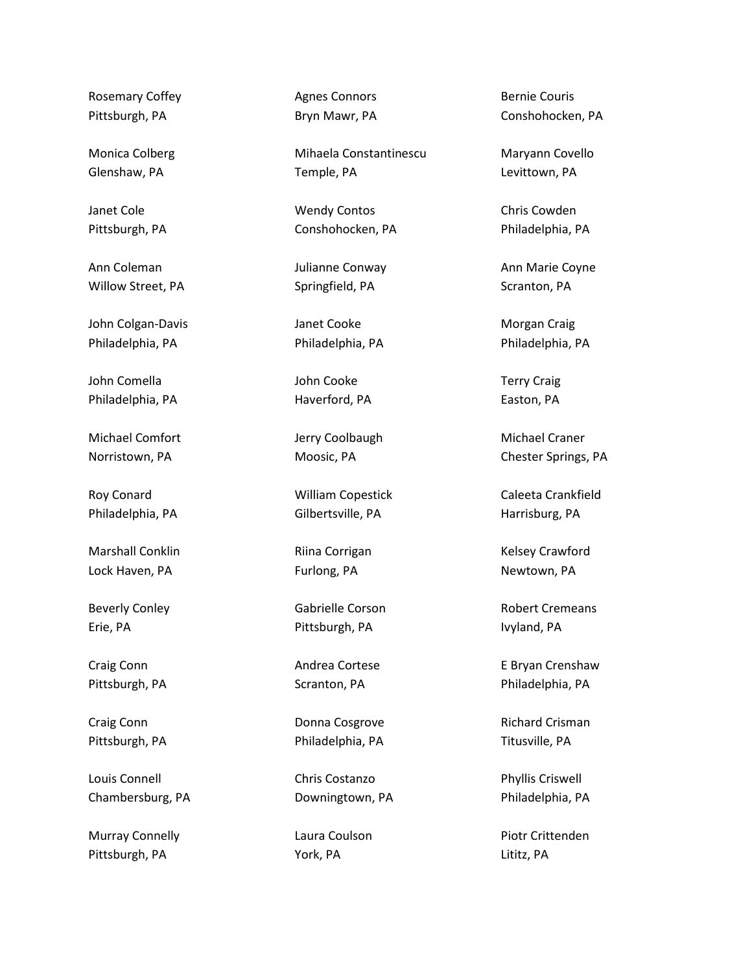Rosemary Coffey Pittsburgh, PA

Monica Colberg Glenshaw, PA

Janet Cole Pittsburgh, PA

Ann Coleman Willow Street, PA

John Colgan-Davis Philadelphia, PA

John Comella Philadelphia, PA

Michael Comfort Norristown, PA

Roy Conard Philadelphia, PA

Marshall Conklin Lock Haven, PA

Beverly Conley Erie, PA

Craig Conn Pittsburgh, PA

Craig Conn Pittsburgh, PA

Louis Connell Chambersburg, PA

Murray Connelly Pittsburgh, PA

Agnes Connors Bryn Mawr, PA

Mihaela Constantinescu Temple, PA

Wendy Contos Conshohocken, PA

Julianne Conway Springfield, PA

Janet Cooke Philadelphia, PA

John Cooke Haverford, PA

Jerry Coolbaugh Moosic, PA

William Copestick Gilbertsville, PA

Riina Corrigan Furlong, PA

Gabrielle Corson Pittsburgh, PA

Andrea Cortese Scranton, PA

Donna Cosgrove Philadelphia, PA

Chris Costanzo Downingtown, PA

Laura Coulson York, PA

Bernie Couris Conshohocken, PA

Maryann Covello Levittown, PA

Chris Cowden Philadelphia, PA

Ann Marie Coyne Scranton, PA

Morgan Craig Philadelphia, PA

Terry Craig Easton, PA

Michael Craner Chester Springs, PA

Caleeta Crankfield Harrisburg, PA

Kelsey Crawford Newtown, PA

Robert Cremeans Ivyland, PA

E Bryan Crenshaw Philadelphia, PA

Richard Crisman Titusville, PA

Phyllis Criswell Philadelphia, PA

Piotr Crittenden Lititz, PA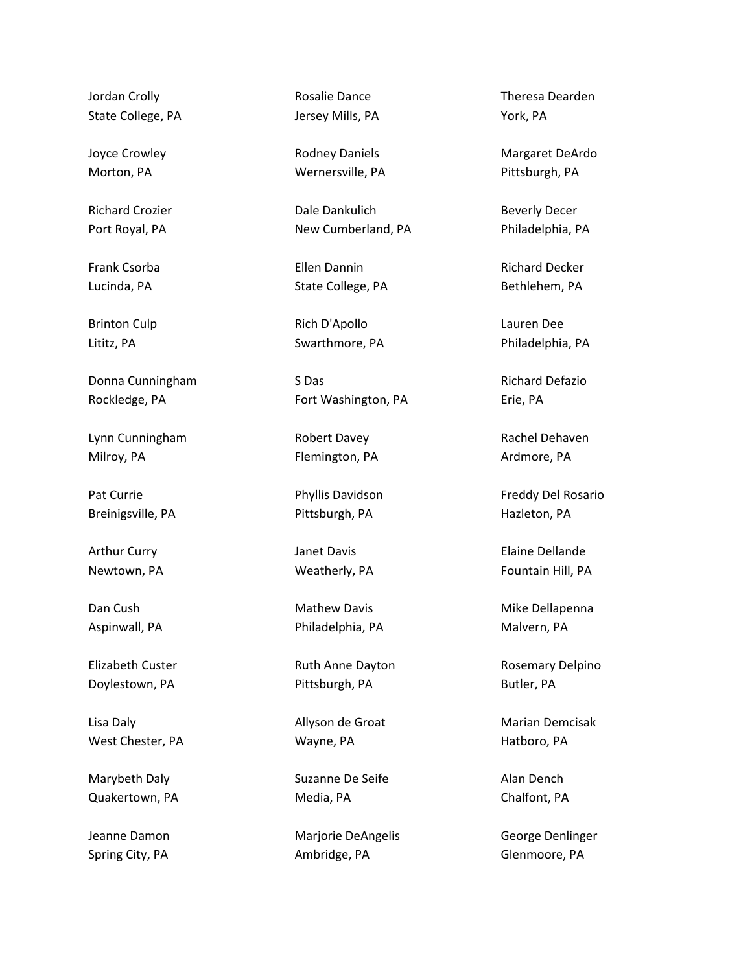Jordan Crolly State College, PA

Joyce Crowley Morton, PA

Richard Crozier Port Royal, PA

Frank Csorba Lucinda, PA

Brinton Culp Lititz, PA

Donna Cunningham Rockledge, PA

Lynn Cunningham Milroy, PA

Pat Currie Breinigsville, PA

Arthur Curry Newtown, PA

Dan Cush Aspinwall, PA

Elizabeth Custer Doylestown, PA

Lisa Daly West Chester, PA

Marybeth Daly Quakertown, PA

Jeanne Damon Spring City, PA

Rosalie Dance Jersey Mills, PA

Rodney Daniels Wernersville, PA

Dale Dankulich New Cumberland, PA

Ellen Dannin State College, PA

Rich D'Apollo Swarthmore, PA

S Das Fort Washington, PA

Robert Davey Flemington, PA

Phyllis Davidson Pittsburgh, PA

Janet Davis Weatherly, PA

Mathew Davis Philadelphia, PA

Ruth Anne Dayton Pittsburgh, PA

Allyson de Groat Wayne, PA

Suzanne De Seife Media, PA

Marjorie DeAngelis Ambridge, PA

Theresa Dearden York, PA

Margaret DeArdo Pittsburgh, PA

Beverly Decer Philadelphia, PA

Richard Decker Bethlehem, PA

Lauren Dee Philadelphia, PA

Richard Defazio Erie, PA

Rachel Dehaven Ardmore, PA

Freddy Del Rosario Hazleton, PA

Elaine Dellande Fountain Hill, PA

Mike Dellapenna Malvern, PA

Rosemary Delpino Butler, PA

Marian Demcisak Hatboro, PA

Alan Dench Chalfont, PA

George Denlinger Glenmoore, PA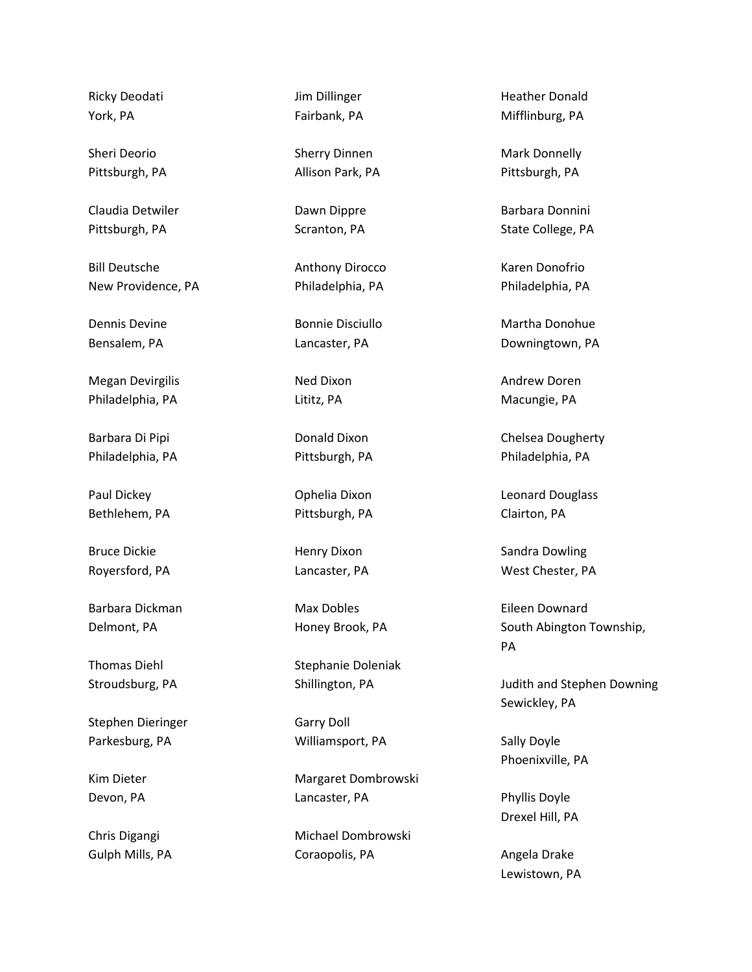Ricky Deodati York, PA

Sheri Deorio Pittsburgh, PA

Claudia Detwiler Pittsburgh, PA

Bill Deutsche New Providence, PA

Dennis Devine Bensalem, PA

Megan Devirgilis Philadelphia, PA

Barbara Di Pipi Philadelphia, PA

Paul Dickey Bethlehem, PA

Bruce Dickie Royersford, PA

Barbara Dickman Delmont, PA

Thomas Diehl Stroudsburg, PA

Stephen Dieringer Parkesburg, PA

Kim Dieter Devon, PA

Chris Digangi Gulph Mills, PA Jim Dillinger Fairbank, PA

Sherry Dinnen Allison Park, PA

Dawn Dippre Scranton, PA

Anthony Dirocco Philadelphia, PA

Bonnie Disciullo Lancaster, PA

Ned Dixon Lititz, PA

Donald Dixon Pittsburgh, PA

Ophelia Dixon Pittsburgh, PA

Henry Dixon Lancaster, PA

Max Dobles Honey Brook, PA

Stephanie Doleniak Shillington, PA

Garry Doll Williamsport, PA

Margaret Dombrowski Lancaster, PA

Michael Dombrowski Coraopolis, PA

Heather Donald Mifflinburg, PA

Mark Donnelly Pittsburgh, PA

Barbara Donnini State College, PA

Karen Donofrio Philadelphia, PA

Martha Donohue Downingtown, PA

Andrew Doren Macungie, PA

Chelsea Dougherty Philadelphia, PA

Leonard Douglass Clairton, PA

Sandra Dowling West Chester, PA

Eileen Downard South Abington Township, PA

Judith and Stephen Downing Sewickley, PA

Sally Doyle Phoenixville, PA

Phyllis Doyle Drexel Hill, PA

Angela Drake Lewistown, PA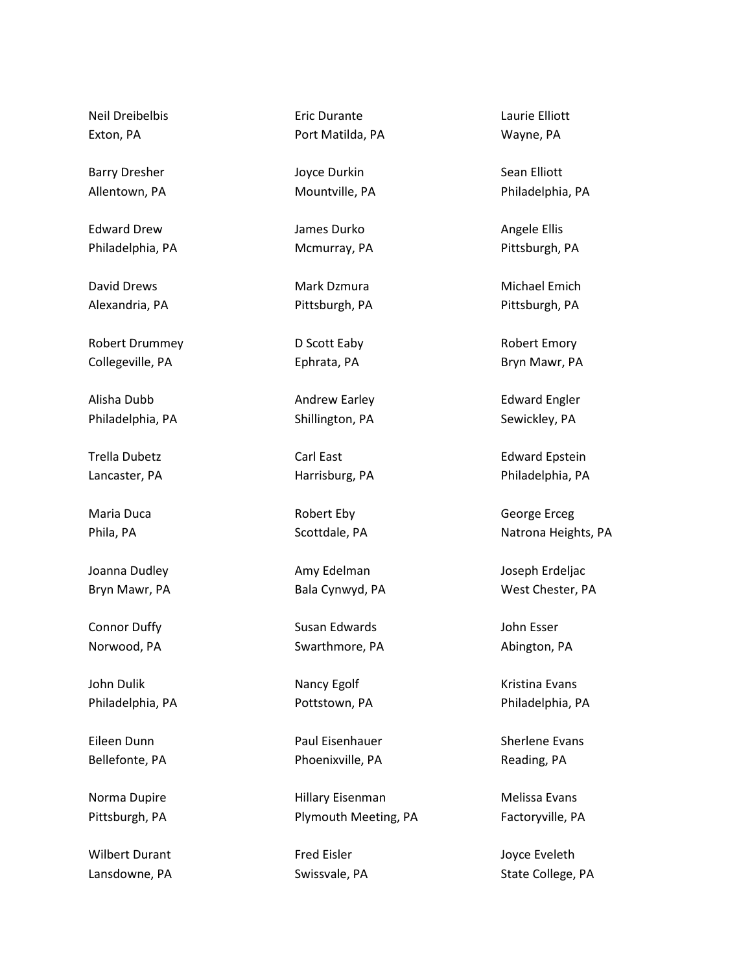Neil Dreibelbis Exton, PA

Barry Dresher Allentown, PA

Edward Drew Philadelphia, PA

David Drews Alexandria, PA

Robert Drummey Collegeville, PA

Alisha Dubb Philadelphia, PA

Trella Dubetz Lancaster, PA

Maria Duca Phila, PA

Joanna Dudley Bryn Mawr, PA

Connor Duffy Norwood, PA

John Dulik Philadelphia, PA

Eileen Dunn Bellefonte, PA

Norma Dupire Pittsburgh, PA

Wilbert Durant Lansdowne, PA Eric Durante Port Matilda, PA

Joyce Durkin Mountville, PA

James Durko Mcmurray, PA

Mark Dzmura Pittsburgh, PA

D Scott Eaby Ephrata, PA

Andrew Earley Shillington, PA

Carl East Harrisburg, PA

Robert Eby Scottdale, PA

Amy Edelman Bala Cynwyd, PA

Susan Edwards Swarthmore, PA

Nancy Egolf Pottstown, PA

Paul Eisenhauer Phoenixville, PA

Hillary Eisenman Plymouth Meeting, PA

Fred Eisler Swissvale, PA Laurie Elliott Wayne, PA

Sean Elliott Philadelphia, PA

Angele Ellis Pittsburgh, PA

Michael Emich Pittsburgh, PA

Robert Emory Bryn Mawr, PA

Edward Engler Sewickley, PA

Edward Epstein Philadelphia, PA

George Erceg Natrona Heights, PA

Joseph Erdeljac West Chester, PA

John Esser Abington, PA

Kristina Evans Philadelphia, PA

Sherlene Evans Reading, PA

Melissa Evans Factoryville, PA

Joyce Eveleth State College, PA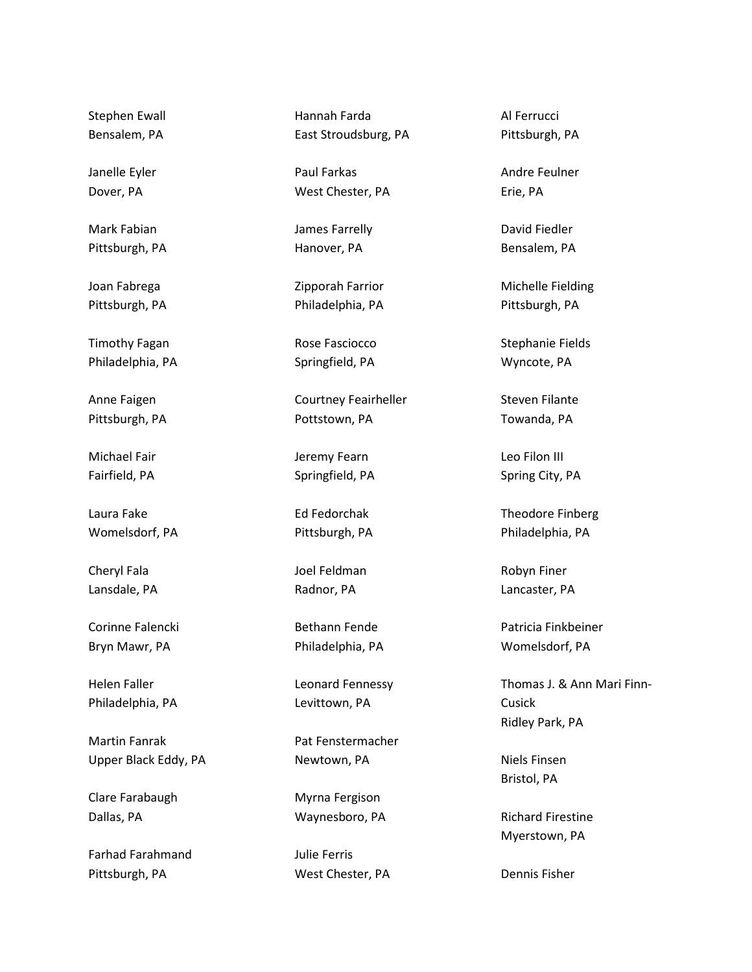Stephen Ewall Bensalem, PA

Janelle Eyler Dover, PA

Mark Fabian Pittsburgh, PA

Joan Fabrega Pittsburgh, PA

Timothy Fagan Philadelphia, PA

Anne Faigen Pittsburgh, PA

Michael Fair Fairfield, PA

Laura Fake Womelsdorf, PA

Cheryl Fala Lansdale, PA

Corinne Falencki Bryn Mawr, PA

Helen Faller Philadelphia, PA

Martin Fanrak Upper Black Eddy, PA

Clare Farabaugh Dallas, PA

Farhad Farahmand Pittsburgh, PA

Hannah Farda East Stroudsburg, PA

Paul Farkas West Chester, PA

James Farrelly Hanover, PA

Zipporah Farrior Philadelphia, PA

Rose Fasciocco Springfield, PA

Courtney Feairheller Pottstown, PA

Jeremy Fearn Springfield, PA

Ed Fedorchak Pittsburgh, PA

Joel Feldman Radnor, PA

Bethann Fende Philadelphia, PA

Leonard Fennessy Levittown, PA

Pat Fenstermacher Newtown, PA

Myrna Fergison Waynesboro, PA

Julie Ferris West Chester, PA Al Ferrucci Pittsburgh, PA

Andre Feulner Erie, PA

David Fiedler Bensalem, PA

Michelle Fielding Pittsburgh, PA

Stephanie Fields Wyncote, PA

Steven Filante Towanda, PA

Leo Filon III Spring City, PA

Theodore Finberg Philadelphia, PA

Robyn Finer Lancaster, PA

Patricia Finkbeiner Womelsdorf, PA

Thomas J. & Ann Mari Finn-Cusick Ridley Park, PA

Niels Finsen Bristol, PA

Richard Firestine Myerstown, PA

Dennis Fisher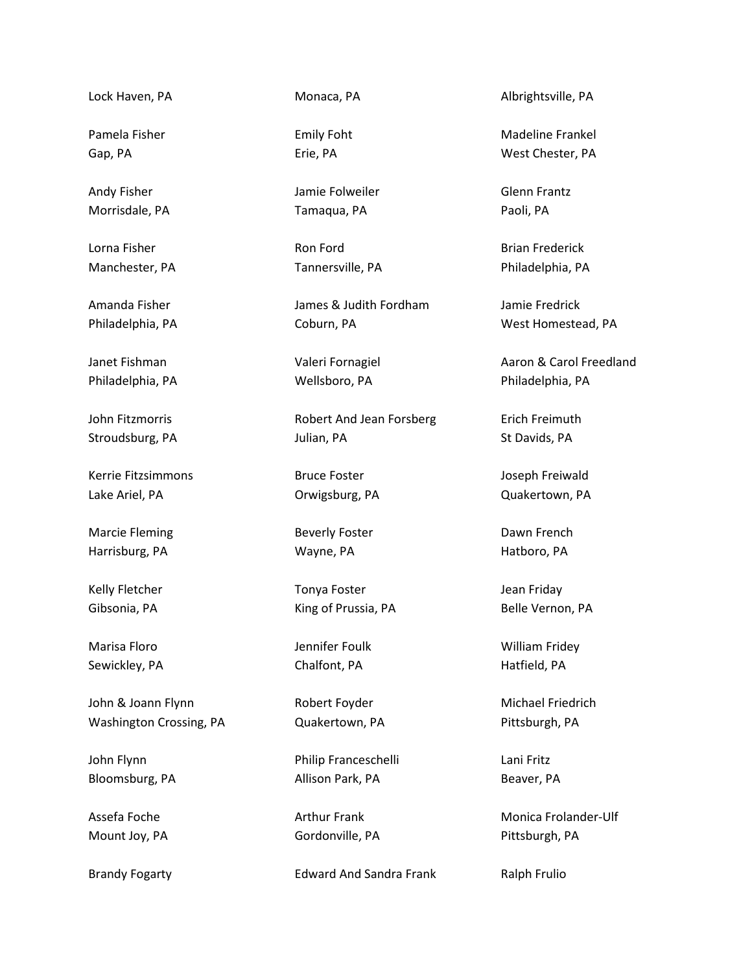Lock Haven, PA

Pamela Fisher Gap, PA

Andy Fisher Morrisdale, PA

Lorna Fisher Manchester, PA

Amanda Fisher Philadelphia, PA

Janet Fishman Philadelphia, PA

John Fitzmorris Stroudsburg, PA

Kerrie Fitzsimmons Lake Ariel, PA

Marcie Fleming Harrisburg, PA

Kelly Fletcher Gibsonia, PA

Marisa Floro Sewickley, PA

John & Joann Flynn Washington Crossing, PA

John Flynn Bloomsburg, PA

Assefa Foche Mount Joy, PA

Brandy Fogarty

Monaca, PA

Emily Foht Erie, PA

Jamie Folweiler Tamaqua, PA

Ron Ford Tannersville, PA

James & Judith Fordham Coburn, PA

Valeri Fornagiel Wellsboro, PA

Robert And Jean Forsberg Julian, PA

Bruce Foster Orwigsburg, PA

Beverly Foster Wayne, PA

Tonya Foster King of Prussia, PA

Jennifer Foulk Chalfont, PA

Robert Foyder Quakertown, PA

Philip Franceschelli Allison Park, PA

Arthur Frank Gordonville, PA

Edward And Sandra Frank

Albrightsville, PA

Madeline Frankel West Chester, PA

Glenn Frantz Paoli, PA

Brian Frederick Philadelphia, PA

Jamie Fredrick West Homestead, PA

Aaron & Carol Freedland Philadelphia, PA

Erich Freimuth St Davids, PA

Joseph Freiwald Quakertown, PA

Dawn French Hatboro, PA

Jean Friday Belle Vernon, PA

William Fridey Hatfield, PA

Michael Friedrich Pittsburgh, PA

Lani Fritz Beaver, PA

Monica Frolander-Ulf Pittsburgh, PA

Ralph Frulio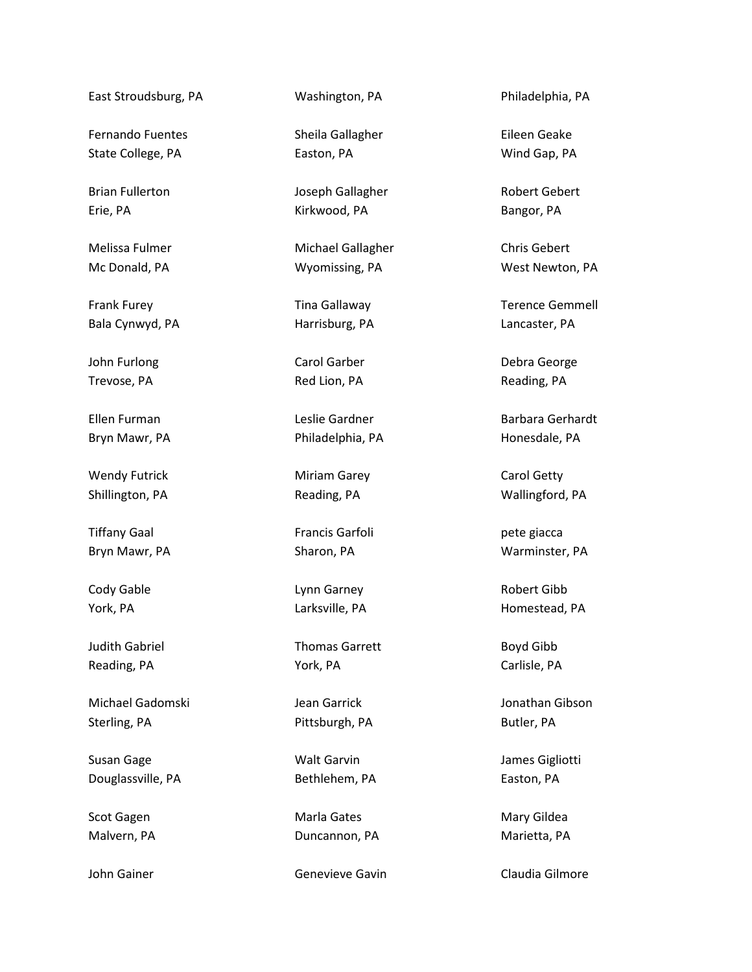East Stroudsburg, PA

Fernando Fuentes State College, PA

Brian Fullerton Erie, PA

Melissa Fulmer Mc Donald, PA

Frank Furey Bala Cynwyd, PA

John Furlong Trevose, PA

Ellen Furman Bryn Mawr, PA

Wendy Futrick Shillington, PA

Tiffany Gaal Bryn Mawr, PA

Cody Gable York, PA

Judith Gabriel Reading, PA

Michael Gadomski Sterling, PA

Susan Gage Douglassville, PA

Scot Gagen Malvern, PA

John Gainer

Washington, PA

Sheila Gallagher Easton, PA

Joseph Gallagher Kirkwood, PA

Michael Gallagher Wyomissing, PA

Tina Gallaway Harrisburg, PA

Carol Garber Red Lion, PA

Leslie Gardner Philadelphia, PA

Miriam Garey Reading, PA

Francis Garfoli Sharon, PA

Lynn Garney Larksville, PA

Thomas Garrett York, PA

Jean Garrick Pittsburgh, PA

Walt Garvin Bethlehem, PA

Marla Gates Duncannon, PA

Genevieve Gavin

Philadelphia, PA

Eileen Geake Wind Gap, PA

Robert Gebert Bangor, PA

Chris Gebert West Newton, PA

Terence Gemmell Lancaster, PA

Debra George Reading, PA

Barbara Gerhardt Honesdale, PA

Carol Getty Wallingford, PA

pete giacca Warminster, PA

Robert Gibb Homestead, PA

Boyd Gibb Carlisle, PA

Jonathan Gibson Butler, PA

James Gigliotti Easton, PA

Mary Gildea Marietta, PA

Claudia Gilmore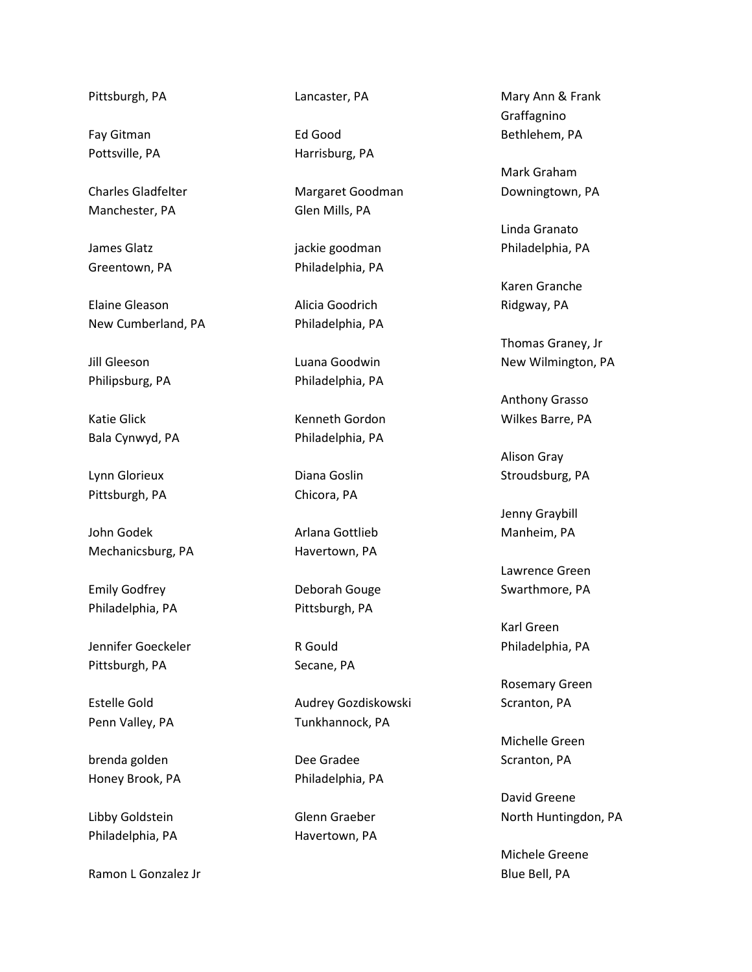Pittsburgh, PA

Fay Gitman Pottsville, PA

Charles Gladfelter Manchester, PA

James Glatz Greentown, PA

Elaine Gleason New Cumberland, PA

Jill Gleeson Philipsburg, PA

Katie Glick Bala Cynwyd, PA

Lynn Glorieux Pittsburgh, PA

John Godek Mechanicsburg, PA

Emily Godfrey Philadelphia, PA

Jennifer Goeckeler Pittsburgh, PA

Estelle Gold Penn Valley, PA

brenda golden Honey Brook, PA

Libby Goldstein Philadelphia, PA

Ramon L Gonzalez Jr

Lancaster, PA

Ed Good Harrisburg, PA

Margaret Goodman Glen Mills, PA

jackie goodman Philadelphia, PA

Alicia Goodrich Philadelphia, PA

Luana Goodwin Philadelphia, PA

Kenneth Gordon Philadelphia, PA

Diana Goslin Chicora, PA

Arlana Gottlieb Havertown, PA

Deborah Gouge Pittsburgh, PA

R Gould Secane, PA

Audrey Gozdiskowski Tunkhannock, PA

Dee Gradee Philadelphia, PA

Glenn Graeber Havertown, PA

Mary Ann & Frank Graffagnino Bethlehem, PA

Mark Graham Downingtown, PA

Linda Granato Philadelphia, PA

Karen Granche Ridgway, PA

Thomas Graney, Jr New Wilmington, PA

Anthony Grasso Wilkes Barre, PA

Alison Gray Stroudsburg, PA

Jenny Graybill Manheim, PA

Lawrence Green Swarthmore, PA

Karl Green Philadelphia, PA

Rosemary Green Scranton, PA

Michelle Green Scranton, PA

David Greene North Huntingdon, PA

Michele Greene Blue Bell, PA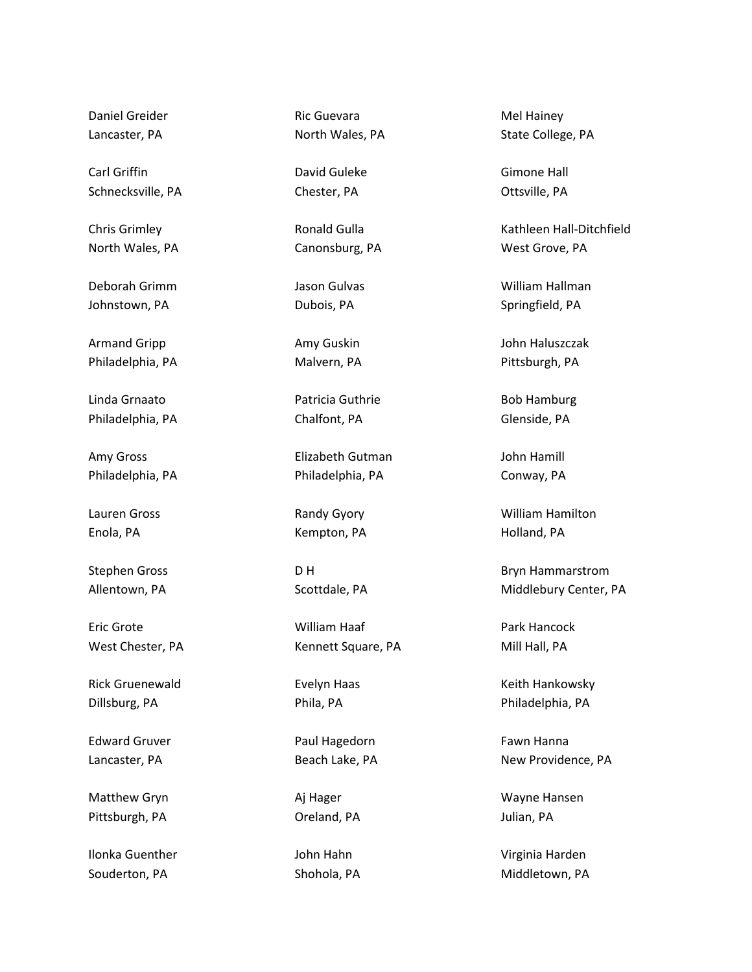Daniel Greider Lancaster, PA

Carl Griffin Schnecksville, PA

Chris Grimley North Wales, PA

Deborah Grimm Johnstown, PA

Armand Gripp Philadelphia, PA

Linda Grnaato Philadelphia, PA

Amy Gross Philadelphia, PA

Lauren Gross Enola, PA

Stephen Gross Allentown, PA

Eric Grote West Chester, PA

Rick Gruenewald Dillsburg, PA

Edward Gruver Lancaster, PA

Matthew Gryn Pittsburgh, PA

Ilonka Guenther Souderton, PA

Ric Guevara North Wales, PA

David Guleke Chester, PA

Ronald Gulla Canonsburg, PA

Jason Gulvas Dubois, PA

Amy Guskin Malvern, PA

Patricia Guthrie Chalfont, PA

Elizabeth Gutman Philadelphia, PA

Randy Gyory Kempton, PA

D H Scottdale, PA

William Haaf Kennett Square, PA

Evelyn Haas Phila, PA

Paul Hagedorn Beach Lake, PA

Aj Hager Oreland, PA

John Hahn Shohola, PA

Mel Hainey State College, PA

Gimone Hall Ottsville, PA

Kathleen Hall-Ditchfield West Grove, PA

William Hallman Springfield, PA

John Haluszczak Pittsburgh, PA

Bob Hamburg Glenside, PA

John Hamill Conway, PA

William Hamilton Holland, PA

Bryn Hammarstrom Middlebury Center, PA

Park Hancock Mill Hall, PA

Keith Hankowsky Philadelphia, PA

Fawn Hanna New Providence, PA

Wayne Hansen Julian, PA

Virginia Harden Middletown, PA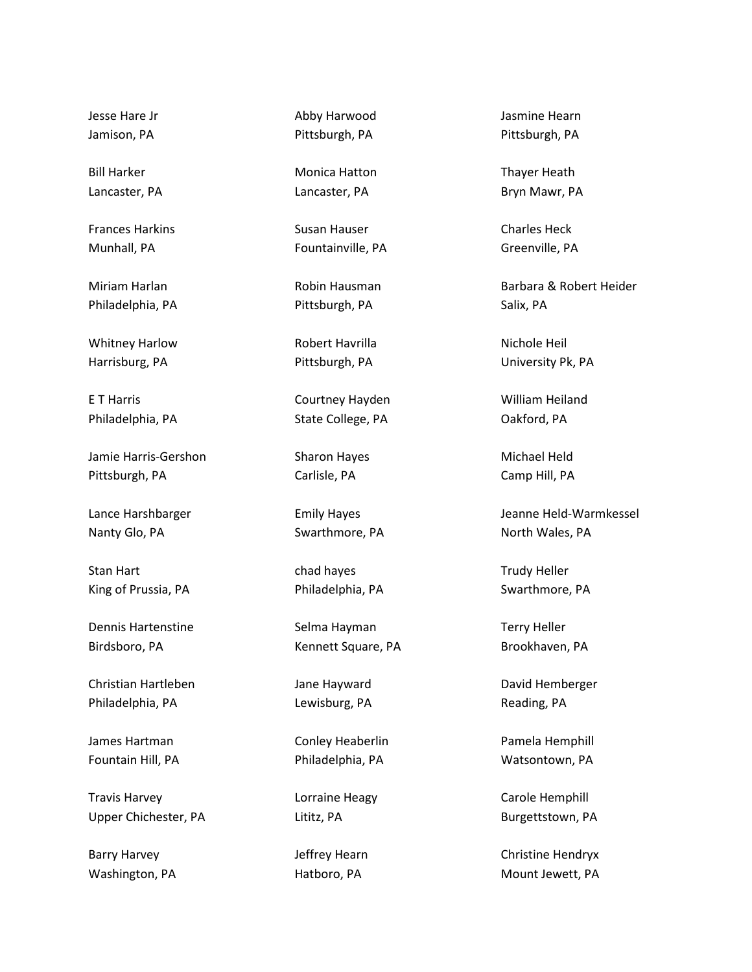Jesse Hare Jr Jamison, PA

Bill Harker Lancaster, PA

Frances Harkins Munhall, PA

Miriam Harlan Philadelphia, PA

Whitney Harlow Harrisburg, PA

E T Harris Philadelphia, PA

Jamie Harris-Gershon Pittsburgh, PA

Lance Harshbarger Nanty Glo, PA

Stan Hart King of Prussia, PA

Dennis Hartenstine Birdsboro, PA

Christian Hartleben Philadelphia, PA

James Hartman Fountain Hill, PA

Travis Harvey Upper Chichester, PA

Barry Harvey Washington, PA Abby Harwood Pittsburgh, PA

Monica Hatton Lancaster, PA

Susan Hauser Fountainville, PA

Robin Hausman Pittsburgh, PA

Robert Havrilla Pittsburgh, PA

Courtney Hayden State College, PA

Sharon Hayes Carlisle, PA

Emily Hayes Swarthmore, PA

chad hayes Philadelphia, PA

Selma Hayman Kennett Square, PA

Jane Hayward Lewisburg, PA

Conley Heaberlin Philadelphia, PA

Lorraine Heagy Lititz, PA

Jeffrey Hearn Hatboro, PA

Jasmine Hearn Pittsburgh, PA

Thayer Heath Bryn Mawr, PA

Charles Heck Greenville, PA

Barbara & Robert Heider Salix, PA

Nichole Heil University Pk, PA

William Heiland Oakford, PA

Michael Held Camp Hill, PA

Jeanne Held-Warmkessel North Wales, PA

Trudy Heller Swarthmore, PA

Terry Heller Brookhaven, PA

David Hemberger Reading, PA

Pamela Hemphill Watsontown, PA

Carole Hemphill Burgettstown, PA

Christine Hendryx Mount Jewett, PA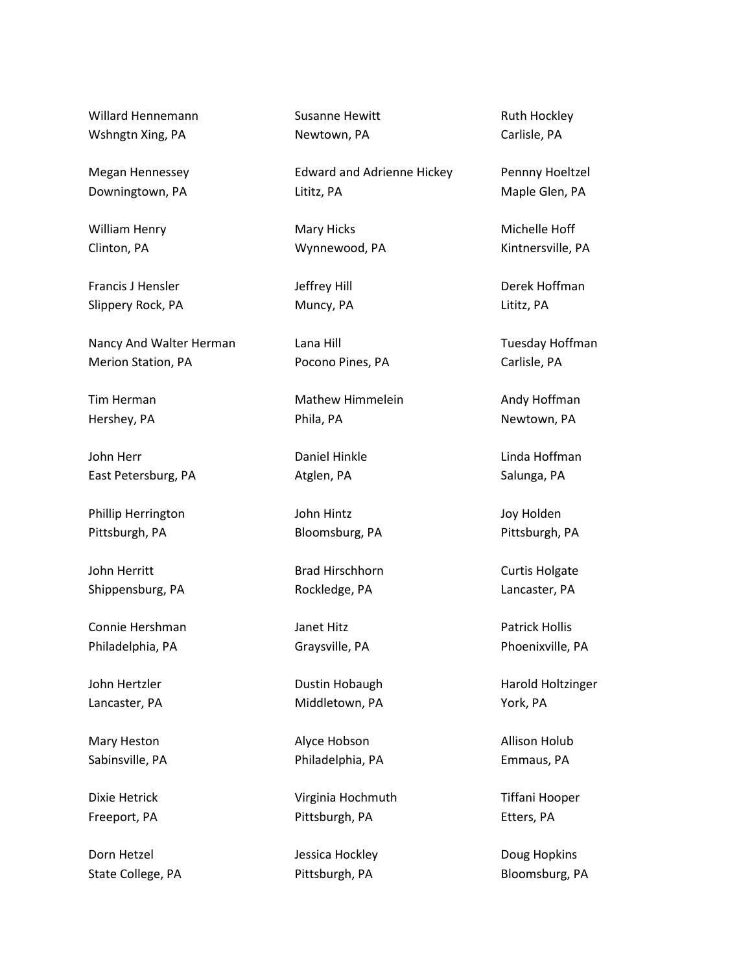Willard Hennemann Wshngtn Xing, PA

Megan Hennessey Downingtown, PA

William Henry Clinton, PA

Francis J Hensler Slippery Rock, PA

Nancy And Walter Herman Merion Station, PA

Tim Herman Hershey, PA

John Herr East Petersburg, PA

Phillip Herrington Pittsburgh, PA

John Herritt Shippensburg, PA

Connie Hershman Philadelphia, PA

John Hertzler Lancaster, PA

Mary Heston Sabinsville, PA

Dixie Hetrick Freeport, PA

Dorn Hetzel State College, PA Susanne Hewitt Newtown, PA

Edward and Adrienne Hickey Lititz, PA

Mary Hicks Wynnewood, PA

Jeffrey Hill Muncy, PA

Lana Hill Pocono Pines, PA

Mathew Himmelein Phila, PA

Daniel Hinkle Atglen, PA

John Hintz Bloomsburg, PA

Brad Hirschhorn Rockledge, PA

Janet Hitz Graysville, PA

Dustin Hobaugh Middletown, PA

Alyce Hobson Philadelphia, PA

Virginia Hochmuth Pittsburgh, PA

Jessica Hockley Pittsburgh, PA

Ruth Hockley Carlisle, PA

Pennny Hoeltzel Maple Glen, PA

Michelle Hoff Kintnersville, PA

Derek Hoffman Lititz, PA

Tuesday Hoffman Carlisle, PA

Andy Hoffman Newtown, PA

Linda Hoffman Salunga, PA

Joy Holden Pittsburgh, PA

Curtis Holgate Lancaster, PA

Patrick Hollis Phoenixville, PA

Harold Holtzinger York, PA

Allison Holub Emmaus, PA

Tiffani Hooper Etters, PA

Doug Hopkins Bloomsburg, PA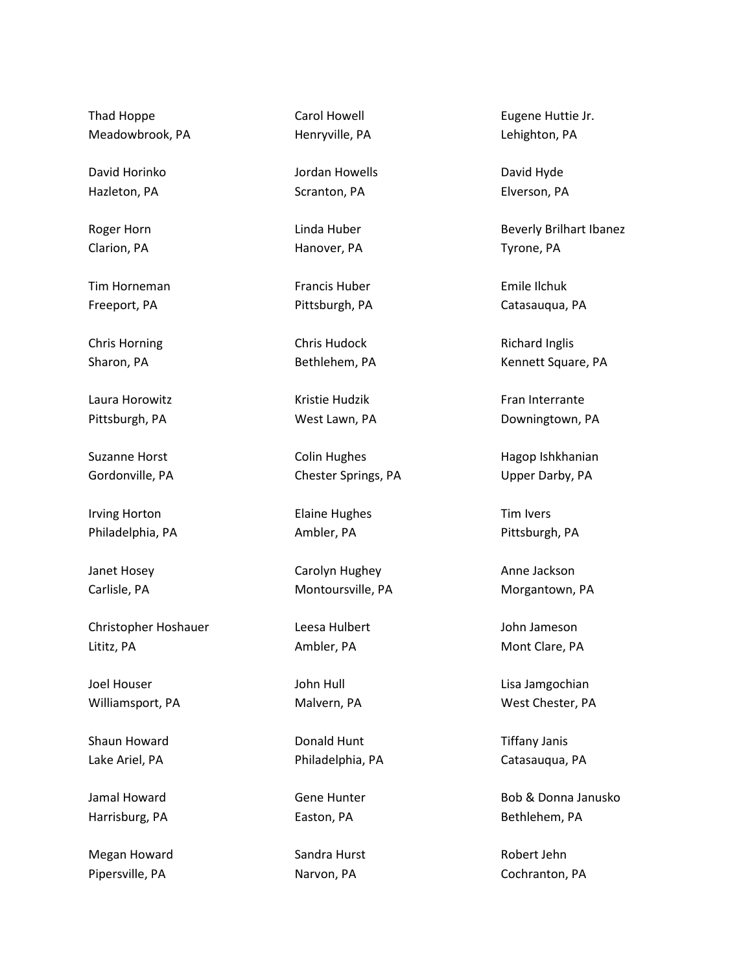Thad Hoppe Meadowbrook, PA

David Horinko Hazleton, PA

Roger Horn Clarion, PA

Tim Horneman Freeport, PA

Chris Horning Sharon, PA

Laura Horowitz Pittsburgh, PA

Suzanne Horst Gordonville, PA

Irving Horton Philadelphia, PA

Janet Hosey Carlisle, PA

Christopher Hoshauer Lititz, PA

Joel Houser Williamsport, PA

Shaun Howard Lake Ariel, PA

Jamal Howard Harrisburg, PA

Megan Howard Pipersville, PA

Carol Howell Henryville, PA

Jordan Howells Scranton, PA

Linda Huber Hanover, PA

Francis Huber Pittsburgh, PA

Chris Hudock Bethlehem, PA

Kristie Hudzik West Lawn, PA

Colin Hughes Chester Springs, PA

Elaine Hughes Ambler, PA

Carolyn Hughey Montoursville, PA

Leesa Hulbert Ambler, PA

John Hull Malvern, PA

Donald Hunt Philadelphia, PA

Gene Hunter Easton, PA

Sandra Hurst Narvon, PA

Eugene Huttie Jr. Lehighton, PA

David Hyde Elverson, PA

Beverly Brilhart Ibanez Tyrone, PA

Emile Ilchuk Catasauqua, PA

Richard Inglis Kennett Square, PA

Fran Interrante Downingtown, PA

Hagop Ishkhanian Upper Darby, PA

Tim Ivers Pittsburgh, PA

Anne Jackson Morgantown, PA

John Jameson Mont Clare, PA

Lisa Jamgochian West Chester, PA

Tiffany Janis Catasauqua, PA

Bob & Donna Janusko Bethlehem, PA

Robert Jehn Cochranton, PA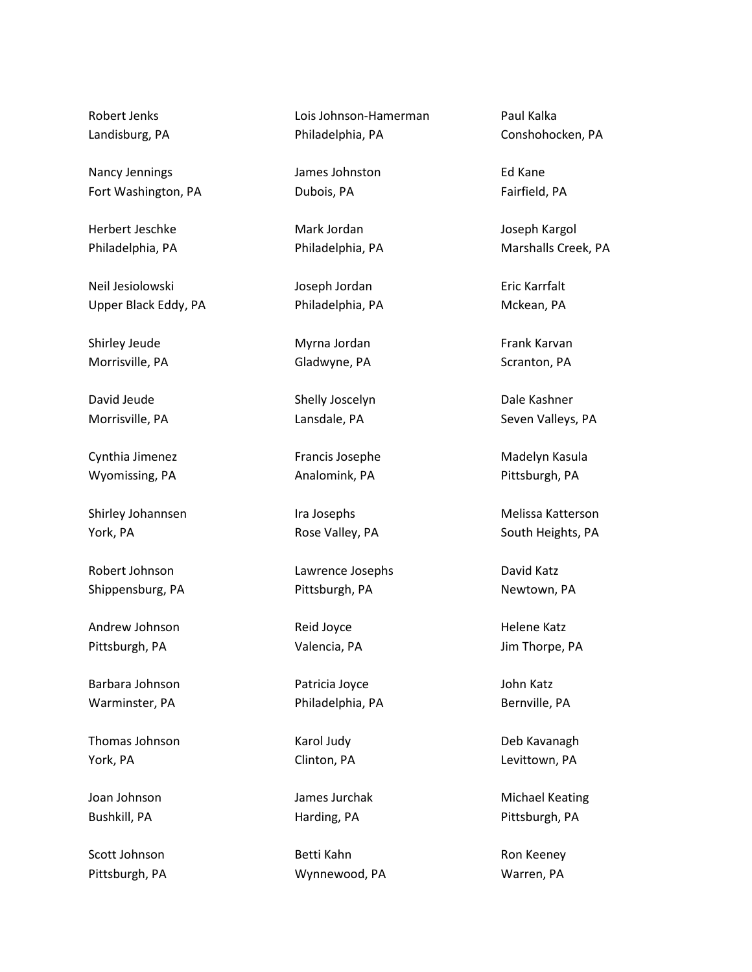Robert Jenks Landisburg, PA

Nancy Jennings Fort Washington, PA

Herbert Jeschke Philadelphia, PA

Neil Jesiolowski Upper Black Eddy, PA

Shirley Jeude Morrisville, PA

David Jeude Morrisville, PA

Cynthia Jimenez Wyomissing, PA

Shirley Johannsen York, PA

Robert Johnson Shippensburg, PA

Andrew Johnson Pittsburgh, PA

Barbara Johnson Warminster, PA

Thomas Johnson York, PA

Joan Johnson Bushkill, PA

Scott Johnson Pittsburgh, PA Lois Johnson-Hamerman Philadelphia, PA

James Johnston Dubois, PA

Mark Jordan Philadelphia, PA

Joseph Jordan Philadelphia, PA

Myrna Jordan Gladwyne, PA

Shelly Joscelyn Lansdale, PA

Francis Josephe Analomink, PA

Ira Josephs Rose Valley, PA

Lawrence Josephs Pittsburgh, PA

Reid Joyce Valencia, PA

Patricia Joyce Philadelphia, PA

Karol Judy Clinton, PA

James Jurchak Harding, PA

Betti Kahn Wynnewood, PA

Paul Kalka Conshohocken, PA

Ed Kane Fairfield, PA

Joseph Kargol Marshalls Creek, PA

Eric Karrfalt Mckean, PA

Frank Karvan Scranton, PA

Dale Kashner Seven Valleys, PA

Madelyn Kasula Pittsburgh, PA

Melissa Katterson South Heights, PA

David Katz Newtown, PA

Helene Katz Jim Thorpe, PA

John Katz Bernville, PA

Deb Kavanagh Levittown, PA

Michael Keating Pittsburgh, PA

Ron Keeney Warren, PA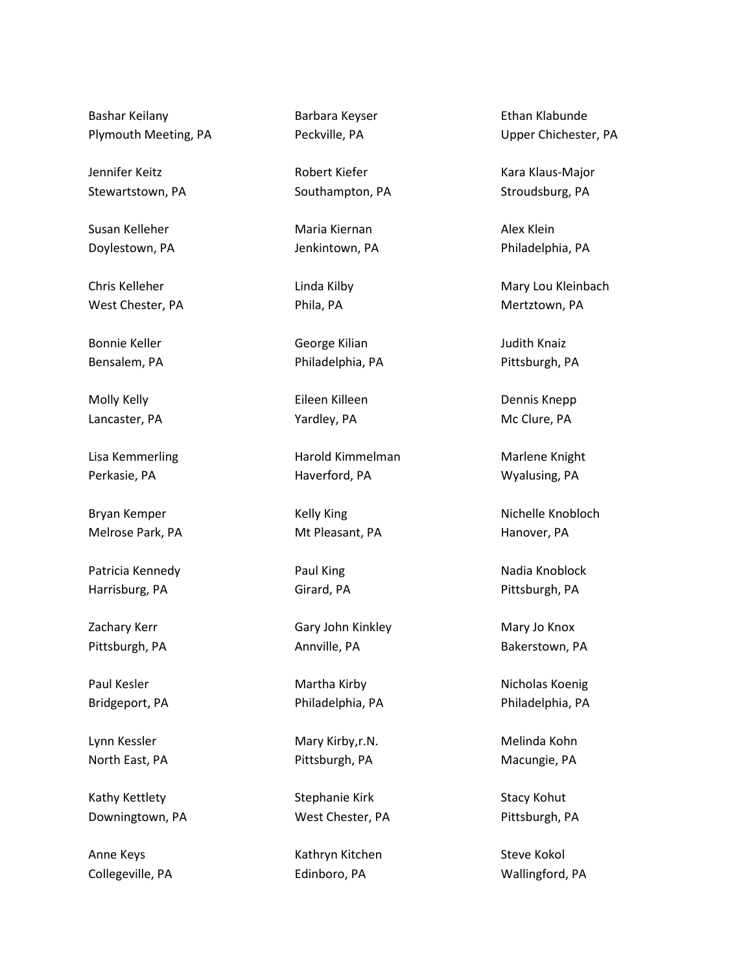Bashar Keilany Plymouth Meeting, PA

Jennifer Keitz Stewartstown, PA

Susan Kelleher Doylestown, PA

Chris Kelleher West Chester, PA

Bonnie Keller Bensalem, PA

Molly Kelly Lancaster, PA

Lisa Kemmerling Perkasie, PA

Bryan Kemper Melrose Park, PA

Patricia Kennedy Harrisburg, PA

Zachary Kerr Pittsburgh, PA

Paul Kesler Bridgeport, PA

Lynn Kessler North East, PA

Kathy Kettlety Downingtown, PA

Anne Keys Collegeville, PA Barbara Keyser Peckville, PA

Robert Kiefer Southampton, PA

Maria Kiernan Jenkintown, PA

Linda Kilby Phila, PA

George Kilian Philadelphia, PA

Eileen Killeen Yardley, PA

Harold Kimmelman Haverford, PA

Kelly King Mt Pleasant, PA

Paul King Girard, PA

Gary John Kinkley Annville, PA

Martha Kirby Philadelphia, PA

Mary Kirby,r.N. Pittsburgh, PA

Stephanie Kirk West Chester, PA

Kathryn Kitchen Edinboro, PA

Ethan Klabunde Upper Chichester, PA

Kara Klaus-Major Stroudsburg, PA

Alex Klein Philadelphia, PA

Mary Lou Kleinbach Mertztown, PA

Judith Knaiz Pittsburgh, PA

Dennis Knepp Mc Clure, PA

Marlene Knight Wyalusing, PA

Nichelle Knobloch Hanover, PA

Nadia Knoblock Pittsburgh, PA

Mary Jo Knox Bakerstown, PA

Nicholas Koenig Philadelphia, PA

Melinda Kohn Macungie, PA

Stacy Kohut Pittsburgh, PA

Steve Kokol Wallingford, PA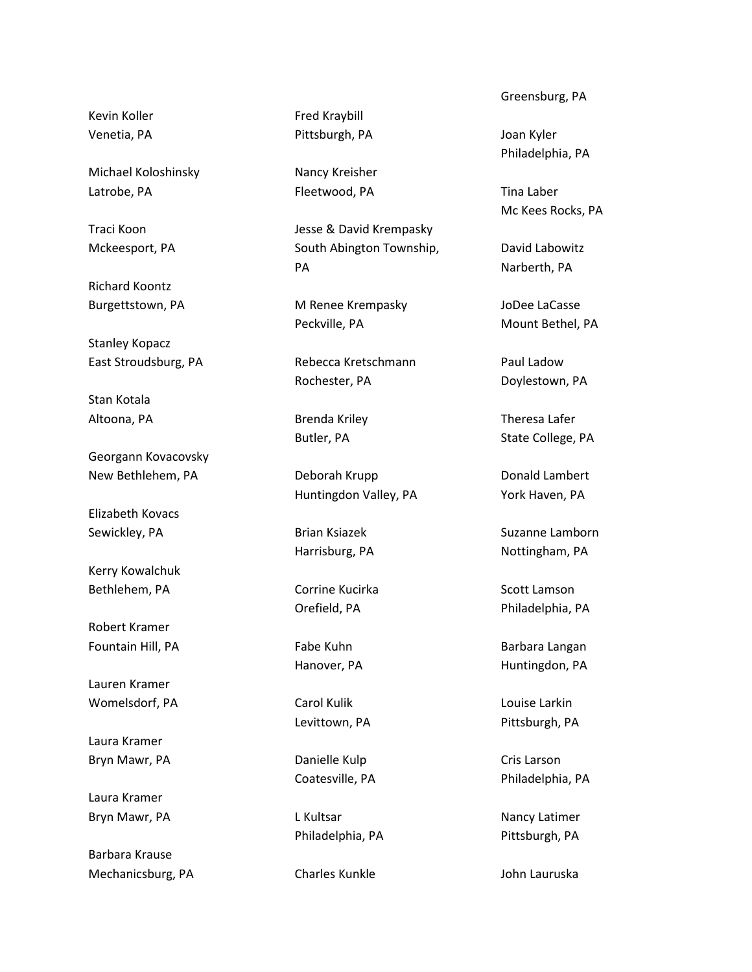Kevin Koller Venetia, PA

Michael Koloshinsky Latrobe, PA

Traci Koon Mckeesport, PA

Richard Koontz Burgettstown, PA

Stanley Kopacz East Stroudsburg, PA

Stan Kotala Altoona, PA

Georgann Kovacovsky New Bethlehem, PA

Elizabeth Kovacs Sewickley, PA

Kerry Kowalchuk Bethlehem, PA

Robert Kramer Fountain Hill, PA

Lauren Kramer Womelsdorf, PA

Laura Kramer Bryn Mawr, PA

Laura Kramer Bryn Mawr, PA

Barbara Krause Mechanicsburg, PA Fred Kraybill Pittsburgh, PA

Nancy Kreisher Fleetwood, PA

Jesse & David Krempasky South Abington Township, PA

M Renee Krempasky Peckville, PA

Rebecca Kretschmann Rochester, PA

Brenda Kriley Butler, PA

Deborah Krupp Huntingdon Valley, PA

Brian Ksiazek Harrisburg, PA

Corrine Kucirka Orefield, PA

Fabe Kuhn Hanover, PA

Carol Kulik Levittown, PA

Danielle Kulp Coatesville, PA

L Kultsar Philadelphia, PA

Charles Kunkle

Greensburg, PA

Joan Kyler Philadelphia, PA

Tina Laber Mc Kees Rocks, PA

David Labowitz Narberth, PA

JoDee LaCasse Mount Bethel, PA

Paul Ladow Doylestown, PA

Theresa Lafer State College, PA

Donald Lambert York Haven, PA

Suzanne Lamborn Nottingham, PA

Scott Lamson Philadelphia, PA

Barbara Langan Huntingdon, PA

Louise Larkin Pittsburgh, PA

Cris Larson Philadelphia, PA

Nancy Latimer Pittsburgh, PA

John Lauruska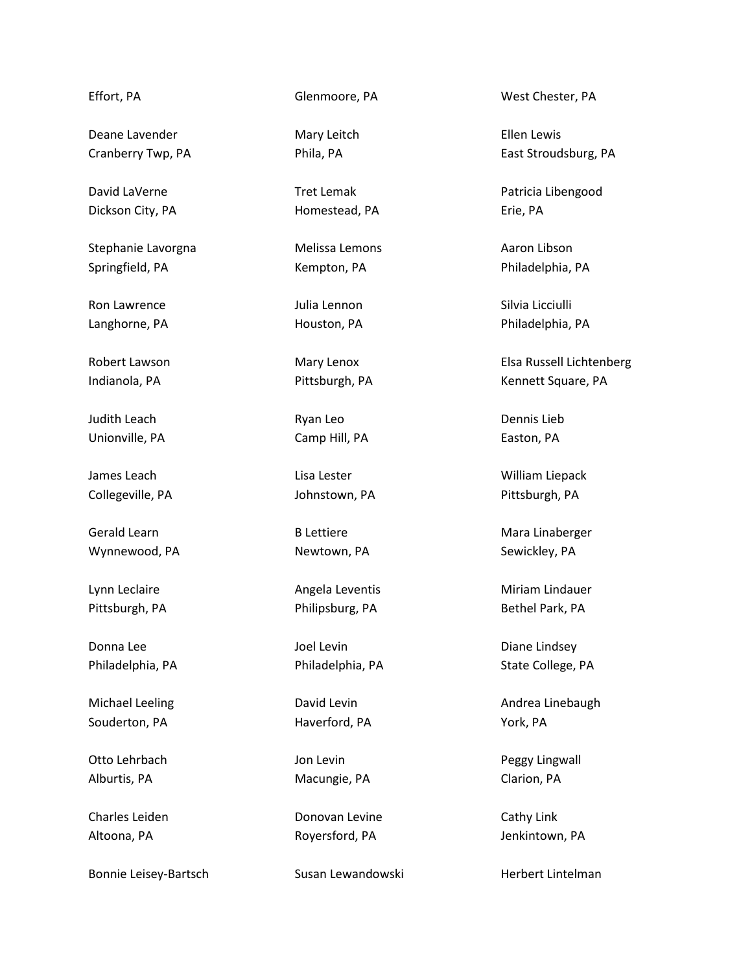## Effort, PA

Deane Lavender Cranberry Twp, PA

David LaVerne Dickson City, PA

Stephanie Lavorgna Springfield, PA

Ron Lawrence Langhorne, PA

Robert Lawson Indianola, PA

Judith Leach Unionville, PA

James Leach Collegeville, PA

Gerald Learn Wynnewood, PA

Lynn Leclaire Pittsburgh, PA

Donna Lee Philadelphia, PA

Michael Leeling Souderton, PA

Otto Lehrbach Alburtis, PA

Charles Leiden Altoona, PA

Bonnie Leisey-Bartsch

Glenmoore, PA

Mary Leitch Phila, PA

Tret Lemak Homestead, PA

Melissa Lemons Kempton, PA

Julia Lennon Houston, PA

Mary Lenox Pittsburgh, PA

Ryan Leo Camp Hill, PA

Lisa Lester Johnstown, PA

B Lettiere Newtown, PA

Angela Leventis Philipsburg, PA

Joel Levin Philadelphia, PA

David Levin Haverford, PA

Jon Levin Macungie, PA

Donovan Levine Royersford, PA

Susan Lewandowski

West Chester, PA

Ellen Lewis East Stroudsburg, PA

Patricia Libengood Erie, PA

Aaron Libson Philadelphia, PA

Silvia Licciulli Philadelphia, PA

Elsa Russell Lichtenberg Kennett Square, PA

Dennis Lieb Easton, PA

William Liepack Pittsburgh, PA

Mara Linaberger Sewickley, PA

Miriam Lindauer Bethel Park, PA

Diane Lindsey State College, PA

Andrea Linebaugh York, PA

Peggy Lingwall Clarion, PA

Cathy Link Jenkintown, PA

Herbert Lintelman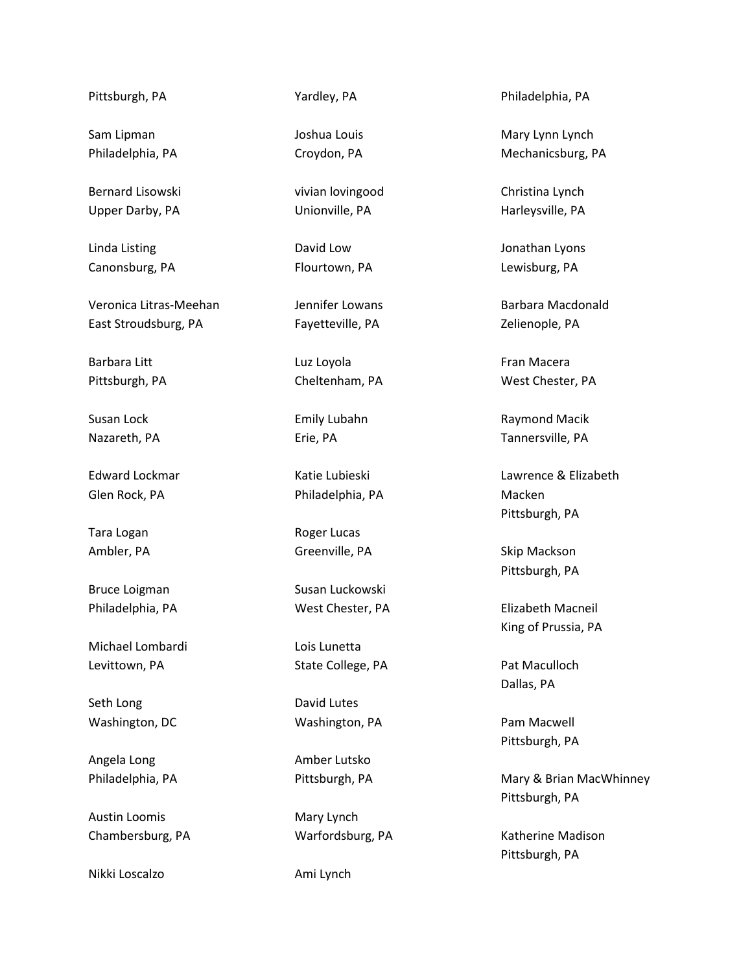Pittsburgh, PA

Sam Lipman Philadelphia, PA

Bernard Lisowski Upper Darby, PA

Linda Listing Canonsburg, PA

Veronica Litras-Meehan East Stroudsburg, PA

Barbara Litt Pittsburgh, PA

Susan Lock Nazareth, PA

Edward Lockmar Glen Rock, PA

Tara Logan Ambler, PA

Bruce Loigman Philadelphia, PA

Michael Lombardi Levittown, PA

Seth Long Washington, DC

Angela Long Philadelphia, PA

Austin Loomis Chambersburg, PA

Nikki Loscalzo

Yardley, PA

Joshua Louis Croydon, PA

vivian lovingood Unionville, PA

David Low Flourtown, PA

Jennifer Lowans Fayetteville, PA

Luz Loyola Cheltenham, PA

Emily Lubahn Erie, PA

Katie Lubieski Philadelphia, PA

Roger Lucas Greenville, PA

Susan Luckowski West Chester, PA

Lois Lunetta State College, PA

David Lutes Washington, PA

Amber Lutsko Pittsburgh, PA

Mary Lynch Warfordsburg, PA

Ami Lynch

Philadelphia, PA

Mary Lynn Lynch Mechanicsburg, PA

Christina Lynch Harleysville, PA

Jonathan Lyons Lewisburg, PA

Barbara Macdonald Zelienople, PA

Fran Macera West Chester, PA

Raymond Macik Tannersville, PA

Lawrence & Elizabeth Macken Pittsburgh, PA

Skip Mackson Pittsburgh, PA

Elizabeth Macneil King of Prussia, PA

Pat Maculloch Dallas, PA

Pam Macwell Pittsburgh, PA

Mary & Brian MacWhinney Pittsburgh, PA

Katherine Madison Pittsburgh, PA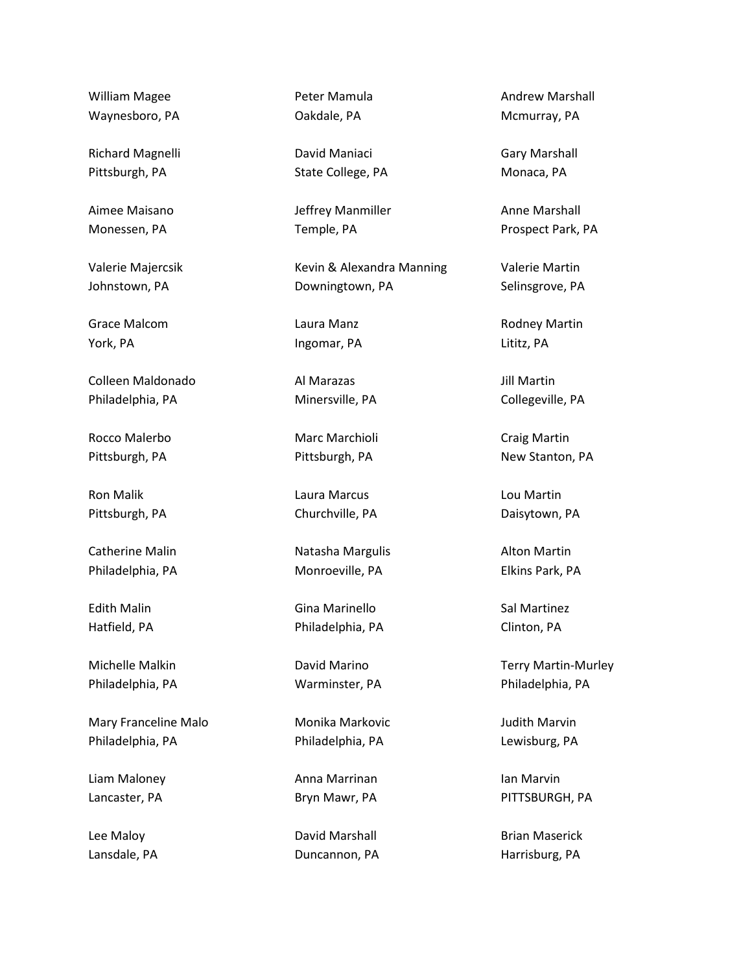William Magee Waynesboro, PA

Richard Magnelli Pittsburgh, PA

Aimee Maisano Monessen, PA

Valerie Majercsik Johnstown, PA

Grace Malcom York, PA

Colleen Maldonado Philadelphia, PA

Rocco Malerbo Pittsburgh, PA

Ron Malik Pittsburgh, PA

Catherine Malin Philadelphia, PA

Edith Malin Hatfield, PA

Michelle Malkin Philadelphia, PA

Mary Franceline Malo Philadelphia, PA

Liam Maloney Lancaster, PA

Lee Maloy Lansdale, PA

Peter Mamula Oakdale, PA

David Maniaci State College, PA

Jeffrey Manmiller Temple, PA

Kevin & Alexandra Manning Downingtown, PA

Laura Manz Ingomar, PA

Al Marazas Minersville, PA

Marc Marchioli Pittsburgh, PA

Laura Marcus Churchville, PA

Natasha Margulis Monroeville, PA

Gina Marinello Philadelphia, PA

David Marino Warminster, PA

Monika Markovic Philadelphia, PA

Anna Marrinan Bryn Mawr, PA

David Marshall Duncannon, PA Andrew Marshall Mcmurray, PA

Gary Marshall Monaca, PA

Anne Marshall Prospect Park, PA

Valerie Martin Selinsgrove, PA

Rodney Martin Lititz, PA

Jill Martin Collegeville, PA

Craig Martin New Stanton, PA

Lou Martin Daisytown, PA

Alton Martin Elkins Park, PA

Sal Martinez Clinton, PA

Terry Martin-Murley Philadelphia, PA

Judith Marvin Lewisburg, PA

Ian Marvin PITTSBURGH, PA

Brian Maserick Harrisburg, PA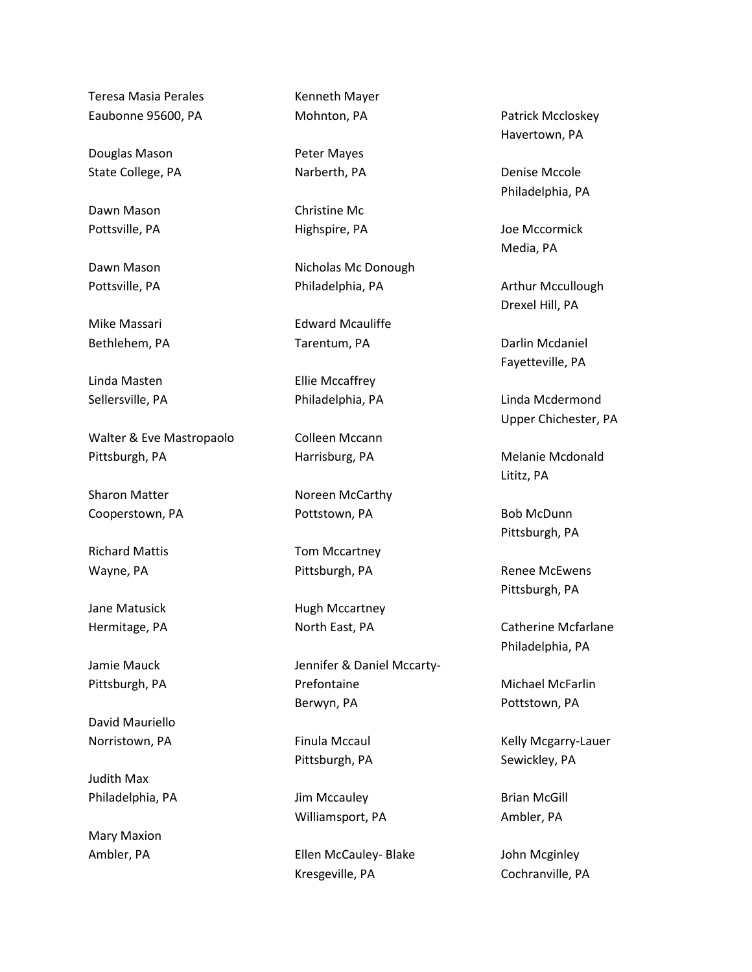Teresa Masia Perales Eaubonne 95600, PA

Douglas Mason State College, PA

Dawn Mason Pottsville, PA

Dawn Mason Pottsville, PA

Mike Massari Bethlehem, PA

Linda Masten Sellersville, PA

Walter & Eve Mastropaolo Pittsburgh, PA

Sharon Matter Cooperstown, PA

Richard Mattis Wayne, PA

Jane Matusick Hermitage, PA

Jamie Mauck Pittsburgh, PA

David Mauriello Norristown, PA

Judith Max Philadelphia, PA

Mary Maxion Ambler, PA

Kenneth Mayer Mohnton, PA

Peter Mayes Narberth, PA

Christine Mc Highspire, PA

Nicholas Mc Donough Philadelphia, PA

Edward Mcauliffe Tarentum, PA

Ellie Mccaffrey Philadelphia, PA

Colleen Mccann Harrisburg, PA

Noreen McCarthy Pottstown, PA

Tom Mccartney Pittsburgh, PA

Hugh Mccartney North East, PA

Jennifer & Daniel Mccarty-Prefontaine Berwyn, PA

Finula Mccaul Pittsburgh, PA

Jim Mccauley Williamsport, PA

Ellen McCauley- Blake Kresgeville, PA

Patrick Mccloskey Havertown, PA

Denise Mccole Philadelphia, PA

Joe Mccormick Media, PA

Arthur Mccullough Drexel Hill, PA

Darlin Mcdaniel Fayetteville, PA

Linda Mcdermond Upper Chichester, PA

Melanie Mcdonald Lititz, PA

Bob McDunn Pittsburgh, PA

Renee McEwens Pittsburgh, PA

Catherine Mcfarlane Philadelphia, PA

Michael McFarlin Pottstown, PA

Kelly Mcgarry-Lauer Sewickley, PA

Brian McGill Ambler, PA

John Mcginley Cochranville, PA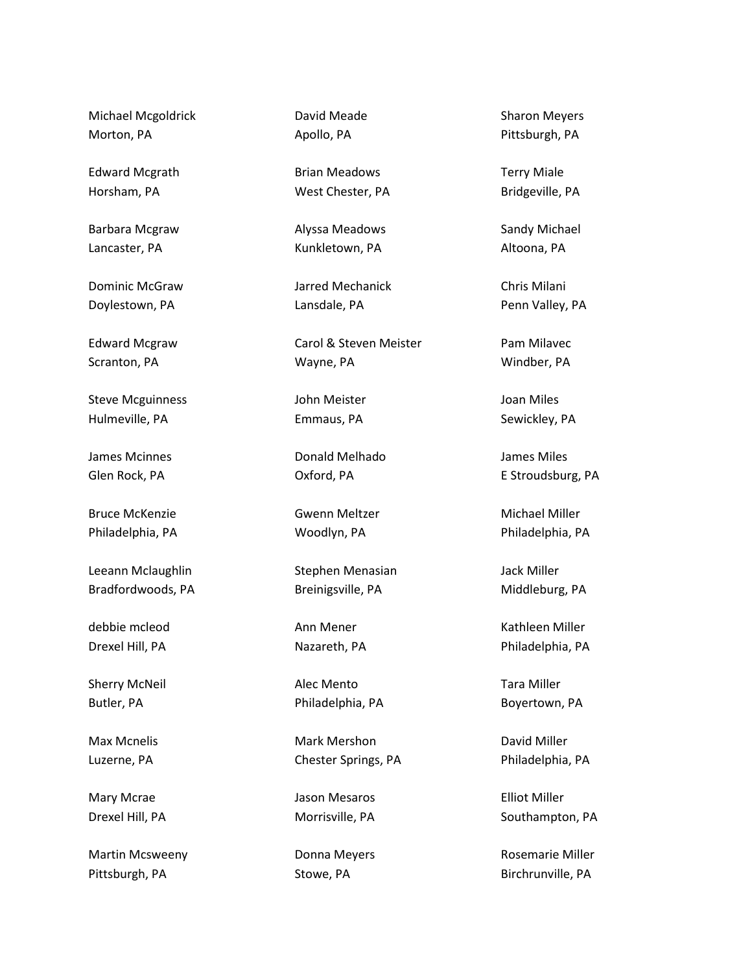Michael Mcgoldrick Morton, PA

Edward Mcgrath Horsham, PA

Barbara Mcgraw Lancaster, PA

Dominic McGraw Doylestown, PA

Edward Mcgraw Scranton, PA

Steve Mcguinness Hulmeville, PA

James Mcinnes Glen Rock, PA

Bruce McKenzie Philadelphia, PA

Leeann Mclaughlin Bradfordwoods, PA

debbie mcleod Drexel Hill, PA

Sherry McNeil Butler, PA

Max Mcnelis Luzerne, PA

Mary Mcrae Drexel Hill, PA

Martin Mcsweeny Pittsburgh, PA

David Meade Apollo, PA

Brian Meadows West Chester, PA

Alyssa Meadows Kunkletown, PA

Jarred Mechanick Lansdale, PA

Carol & Steven Meister Wayne, PA

John Meister Emmaus, PA

Donald Melhado Oxford, PA

Gwenn Meltzer Woodlyn, PA

Stephen Menasian Breinigsville, PA

Ann Mener Nazareth, PA

Alec Mento Philadelphia, PA

Mark Mershon Chester Springs, PA

Jason Mesaros Morrisville, PA

Donna Meyers Stowe, PA

Sharon Meyers Pittsburgh, PA

Terry Miale Bridgeville, PA

Sandy Michael Altoona, PA

Chris Milani Penn Valley, PA

Pam Milavec Windber, PA

Joan Miles Sewickley, PA

James Miles E Stroudsburg, PA

Michael Miller Philadelphia, PA

Jack Miller Middleburg, PA

Kathleen Miller Philadelphia, PA

Tara Miller Boyertown, PA

David Miller Philadelphia, PA

Elliot Miller Southampton, PA

Rosemarie Miller Birchrunville, PA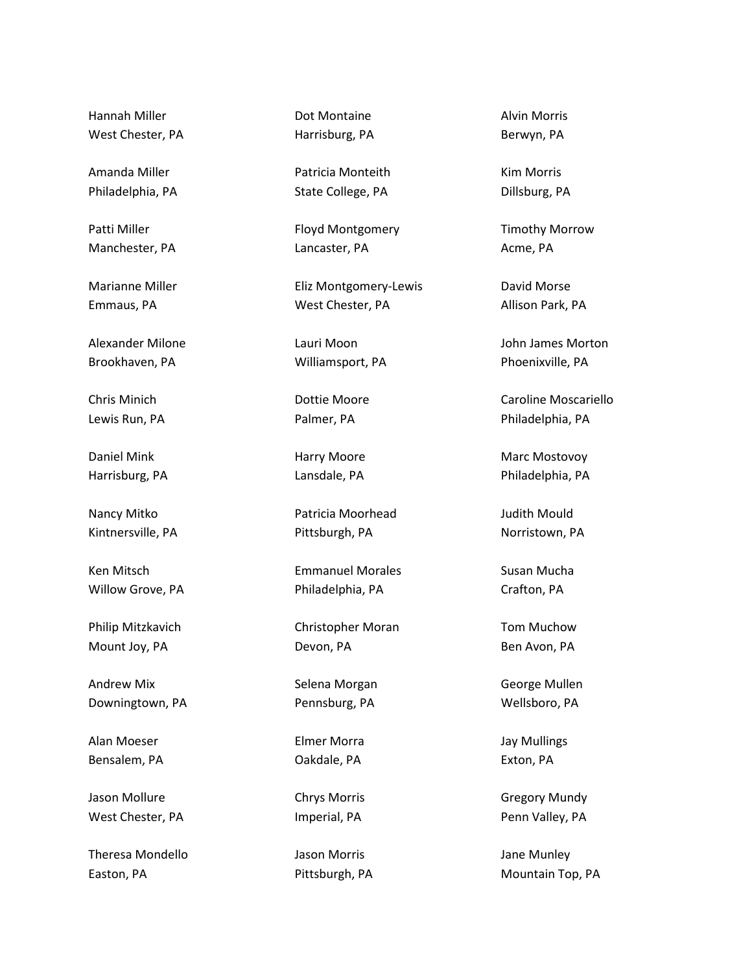Hannah Miller West Chester, PA

Amanda Miller Philadelphia, PA

Patti Miller Manchester, PA

Marianne Miller Emmaus, PA

Alexander Milone Brookhaven, PA

Chris Minich Lewis Run, PA

Daniel Mink Harrisburg, PA

Nancy Mitko Kintnersville, PA

Ken Mitsch Willow Grove, PA

Philip Mitzkavich Mount Joy, PA

Andrew Mix Downingtown, PA

Alan Moeser Bensalem, PA

Jason Mollure West Chester, PA

Theresa Mondello Easton, PA

Dot Montaine Harrisburg, PA

Patricia Monteith State College, PA

Floyd Montgomery Lancaster, PA

Eliz Montgomery-Lewis West Chester, PA

Lauri Moon Williamsport, PA

Dottie Moore Palmer, PA

Harry Moore Lansdale, PA

Patricia Moorhead Pittsburgh, PA

Emmanuel Morales Philadelphia, PA

Christopher Moran Devon, PA

Selena Morgan Pennsburg, PA

Elmer Morra Oakdale, PA

Chrys Morris Imperial, PA

Jason Morris Pittsburgh, PA Alvin Morris Berwyn, PA

Kim Morris Dillsburg, PA

Timothy Morrow Acme, PA

David Morse Allison Park, PA

John James Morton Phoenixville, PA

Caroline Moscariello Philadelphia, PA

Marc Mostovoy Philadelphia, PA

Judith Mould Norristown, PA

Susan Mucha Crafton, PA

Tom Muchow Ben Avon, PA

George Mullen Wellsboro, PA

Jay Mullings Exton, PA

Gregory Mundy Penn Valley, PA

Jane Munley Mountain Top, PA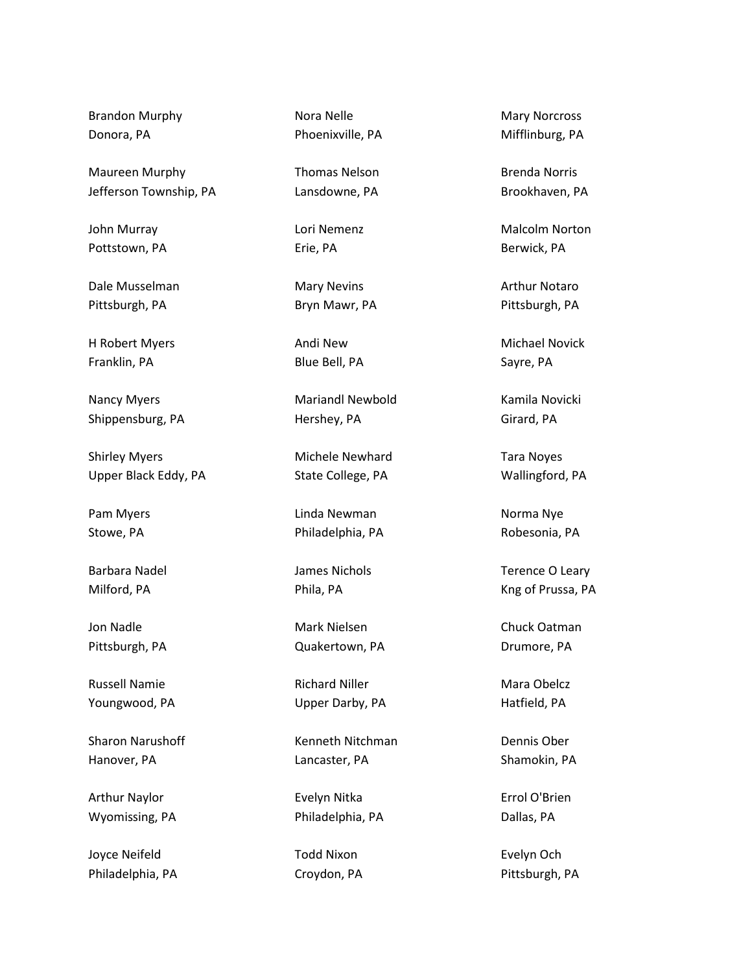Brandon Murphy Donora, PA

Maureen Murphy Jefferson Township, PA

John Murray Pottstown, PA

Dale Musselman Pittsburgh, PA

H Robert Myers Franklin, PA

Nancy Myers Shippensburg, PA

Shirley Myers Upper Black Eddy, PA

Pam Myers Stowe, PA

Barbara Nadel Milford, PA

Jon Nadle Pittsburgh, PA

Russell Namie Youngwood, PA

Sharon Narushoff Hanover, PA

Arthur Naylor Wyomissing, PA

Joyce Neifeld Philadelphia, PA Nora Nelle Phoenixville, PA

Thomas Nelson Lansdowne, PA

Lori Nemenz Erie, PA

Mary Nevins Bryn Mawr, PA

Andi New Blue Bell, PA

Mariandl Newbold Hershey, PA

Michele Newhard State College, PA

Linda Newman Philadelphia, PA

James Nichols Phila, PA

Mark Nielsen Quakertown, PA

Richard Niller Upper Darby, PA

Kenneth Nitchman Lancaster, PA

Evelyn Nitka Philadelphia, PA

Todd Nixon Croydon, PA

Mary Norcross Mifflinburg, PA

Brenda Norris Brookhaven, PA

Malcolm Norton Berwick, PA

Arthur Notaro Pittsburgh, PA

Michael Novick Sayre, PA

Kamila Novicki Girard, PA

Tara Noyes Wallingford, PA

Norma Nye Robesonia, PA

Terence O Leary Kng of Prussa, PA

Chuck Oatman Drumore, PA

Mara Obelcz Hatfield, PA

Dennis Ober Shamokin, PA

Errol O'Brien Dallas, PA

Evelyn Och Pittsburgh, PA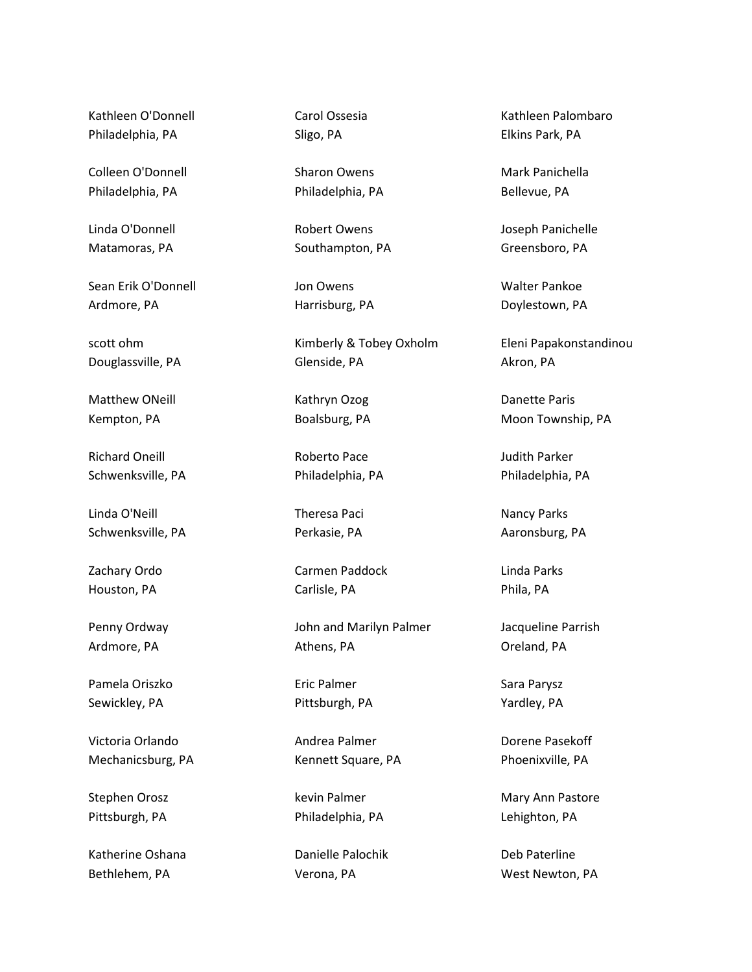Kathleen O'Donnell Philadelphia, PA

Colleen O'Donnell Philadelphia, PA

Linda O'Donnell Matamoras, PA

Sean Erik O'Donnell Ardmore, PA

scott ohm Douglassville, PA

Matthew ONeill Kempton, PA

Richard Oneill Schwenksville, PA

Linda O'Neill Schwenksville, PA

Zachary Ordo Houston, PA

Penny Ordway Ardmore, PA

Pamela Oriszko Sewickley, PA

Victoria Orlando Mechanicsburg, PA

Stephen Orosz Pittsburgh, PA

Katherine Oshana Bethlehem, PA

Carol Ossesia Sligo, PA

Sharon Owens Philadelphia, PA

Robert Owens Southampton, PA

Jon Owens Harrisburg, PA

Kimberly & Tobey Oxholm Glenside, PA

Kathryn Ozog Boalsburg, PA

Roberto Pace Philadelphia, PA

Theresa Paci Perkasie, PA

Carmen Paddock Carlisle, PA

John and Marilyn Palmer Athens, PA

Eric Palmer Pittsburgh, PA

Andrea Palmer Kennett Square, PA

kevin Palmer Philadelphia, PA

Danielle Palochik Verona, PA

Kathleen Palombaro Elkins Park, PA

Mark Panichella Bellevue, PA

Joseph Panichelle Greensboro, PA

Walter Pankoe Doylestown, PA

Eleni Papakonstandinou Akron, PA

Danette Paris Moon Township, PA

Judith Parker Philadelphia, PA

Nancy Parks Aaronsburg, PA

Linda Parks Phila, PA

Jacqueline Parrish Oreland, PA

Sara Parysz Yardley, PA

Dorene Pasekoff Phoenixville, PA

Mary Ann Pastore Lehighton, PA

Deb Paterline West Newton, PA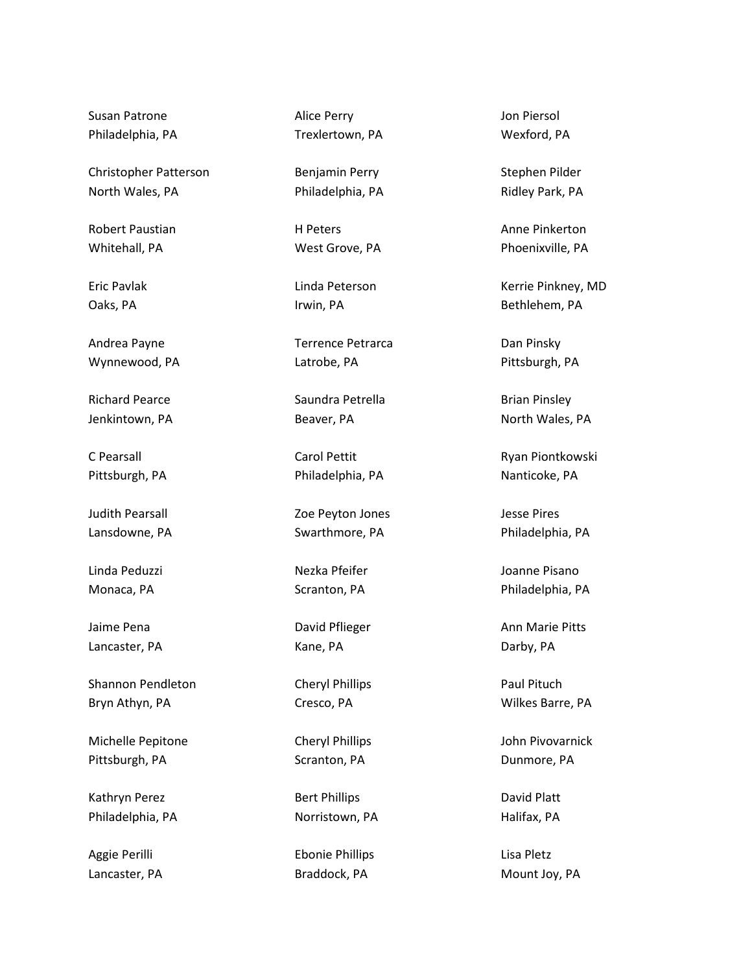Susan Patrone Philadelphia, PA

Christopher Patterson North Wales, PA

Robert Paustian Whitehall, PA

Eric Pavlak Oaks, PA

Andrea Payne Wynnewood, PA

Richard Pearce Jenkintown, PA

C Pearsall Pittsburgh, PA

Judith Pearsall Lansdowne, PA

Linda Peduzzi Monaca, PA

Jaime Pena Lancaster, PA

Shannon Pendleton Bryn Athyn, PA

Michelle Pepitone Pittsburgh, PA

Kathryn Perez Philadelphia, PA

Aggie Perilli Lancaster, PA Alice Perry Trexlertown, PA

Benjamin Perry Philadelphia, PA

H Peters West Grove, PA

Linda Peterson Irwin, PA

Terrence Petrarca Latrobe, PA

Saundra Petrella Beaver, PA

Carol Pettit Philadelphia, PA

Zoe Peyton Jones Swarthmore, PA

Nezka Pfeifer Scranton, PA

David Pflieger Kane, PA

Cheryl Phillips Cresco, PA

Cheryl Phillips Scranton, PA

Bert Phillips Norristown, PA

Ebonie Phillips Braddock, PA

Jon Piersol Wexford, PA

Stephen Pilder Ridley Park, PA

Anne Pinkerton Phoenixville, PA

Kerrie Pinkney, MD Bethlehem, PA

Dan Pinsky Pittsburgh, PA

Brian Pinsley North Wales, PA

Ryan Piontkowski Nanticoke, PA

Jesse Pires Philadelphia, PA

Joanne Pisano Philadelphia, PA

Ann Marie Pitts Darby, PA

Paul Pituch Wilkes Barre, PA

John Pivovarnick Dunmore, PA

David Platt Halifax, PA

Lisa Pletz Mount Joy, PA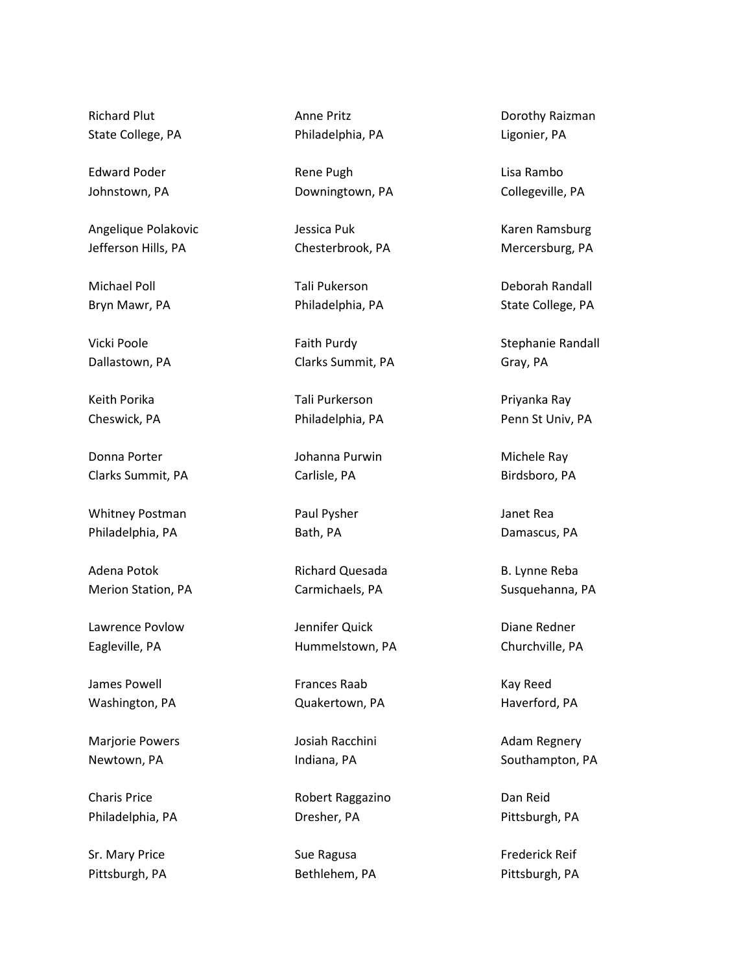Richard Plut State College, PA

Edward Poder Johnstown, PA

Angelique Polakovic Jefferson Hills, PA

Michael Poll Bryn Mawr, PA

Vicki Poole Dallastown, PA

Keith Porika Cheswick, PA

Donna Porter Clarks Summit, PA

Whitney Postman Philadelphia, PA

Adena Potok Merion Station, PA

Lawrence Povlow Eagleville, PA

James Powell Washington, PA

Marjorie Powers Newtown, PA

Charis Price Philadelphia, PA

Sr. Mary Price Pittsburgh, PA

Anne Pritz Philadelphia, PA

Rene Pugh Downingtown, PA

Jessica Puk Chesterbrook, PA

Tali Pukerson Philadelphia, PA

Faith Purdy Clarks Summit, PA

Tali Purkerson Philadelphia, PA

Johanna Purwin Carlisle, PA

Paul Pysher Bath, PA

Richard Quesada Carmichaels, PA

Jennifer Quick Hummelstown, PA

Frances Raab Quakertown, PA

Josiah Racchini Indiana, PA

Robert Raggazino Dresher, PA

Sue Ragusa Bethlehem, PA

Dorothy Raizman Ligonier, PA

Lisa Rambo Collegeville, PA

Karen Ramsburg Mercersburg, PA

Deborah Randall State College, PA

Stephanie Randall Gray, PA

Priyanka Ray Penn St Univ, PA

Michele Ray Birdsboro, PA

Janet Rea Damascus, PA

B. Lynne Reba Susquehanna, PA

Diane Redner Churchville, PA

Kay Reed Haverford, PA

Adam Regnery Southampton, PA

Dan Reid Pittsburgh, PA

Frederick Reif Pittsburgh, PA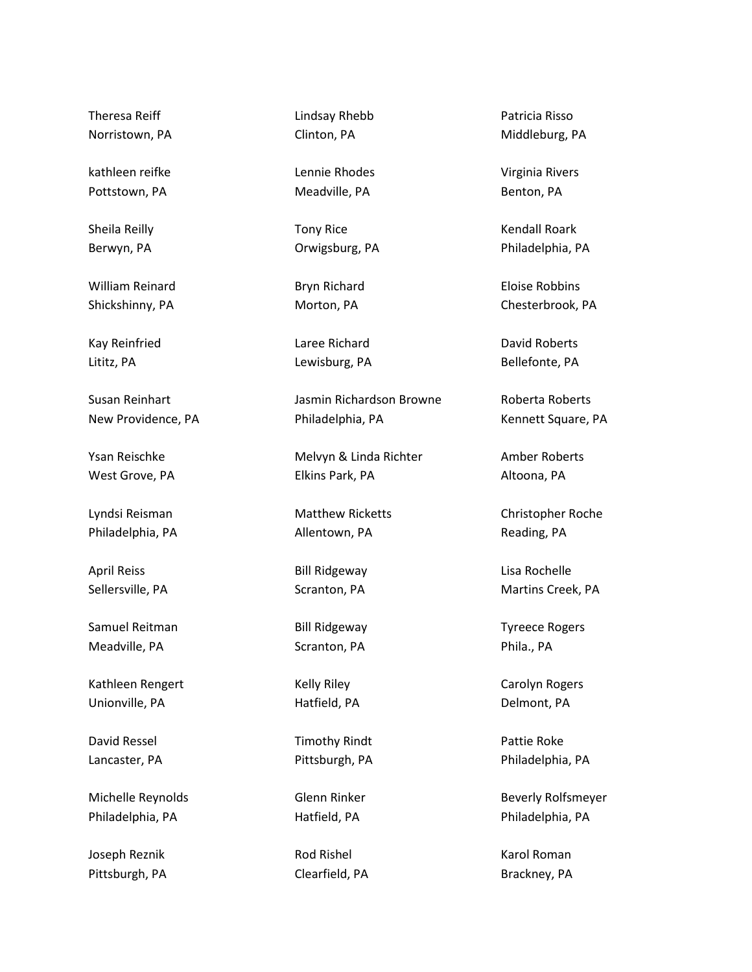Theresa Reiff Norristown, PA

kathleen reifke Pottstown, PA

Sheila Reilly Berwyn, PA

William Reinard Shickshinny, PA

Kay Reinfried Lititz, PA

Susan Reinhart New Providence, PA

Ysan Reischke West Grove, PA

Lyndsi Reisman Philadelphia, PA

April Reiss Sellersville, PA

Samuel Reitman Meadville, PA

Kathleen Rengert Unionville, PA

David Ressel Lancaster, PA

Michelle Reynolds Philadelphia, PA

Joseph Reznik Pittsburgh, PA Lindsay Rhebb Clinton, PA

Lennie Rhodes Meadville, PA

Tony Rice Orwigsburg, PA

Bryn Richard Morton, PA

Laree Richard Lewisburg, PA

Jasmin Richardson Browne Philadelphia, PA

Melvyn & Linda Richter Elkins Park, PA

Matthew Ricketts Allentown, PA

Bill Ridgeway Scranton, PA

Bill Ridgeway Scranton, PA

Kelly Riley Hatfield, PA

Timothy Rindt Pittsburgh, PA

Glenn Rinker Hatfield, PA

Rod Rishel Clearfield, PA Patricia Risso Middleburg, PA

Virginia Rivers Benton, PA

Kendall Roark Philadelphia, PA

Eloise Robbins Chesterbrook, PA

David Roberts Bellefonte, PA

Roberta Roberts Kennett Square, PA

Amber Roberts Altoona, PA

Christopher Roche Reading, PA

Lisa Rochelle Martins Creek, PA

Tyreece Rogers Phila., PA

Carolyn Rogers Delmont, PA

Pattie Roke Philadelphia, PA

Beverly Rolfsmeyer Philadelphia, PA

Karol Roman Brackney, PA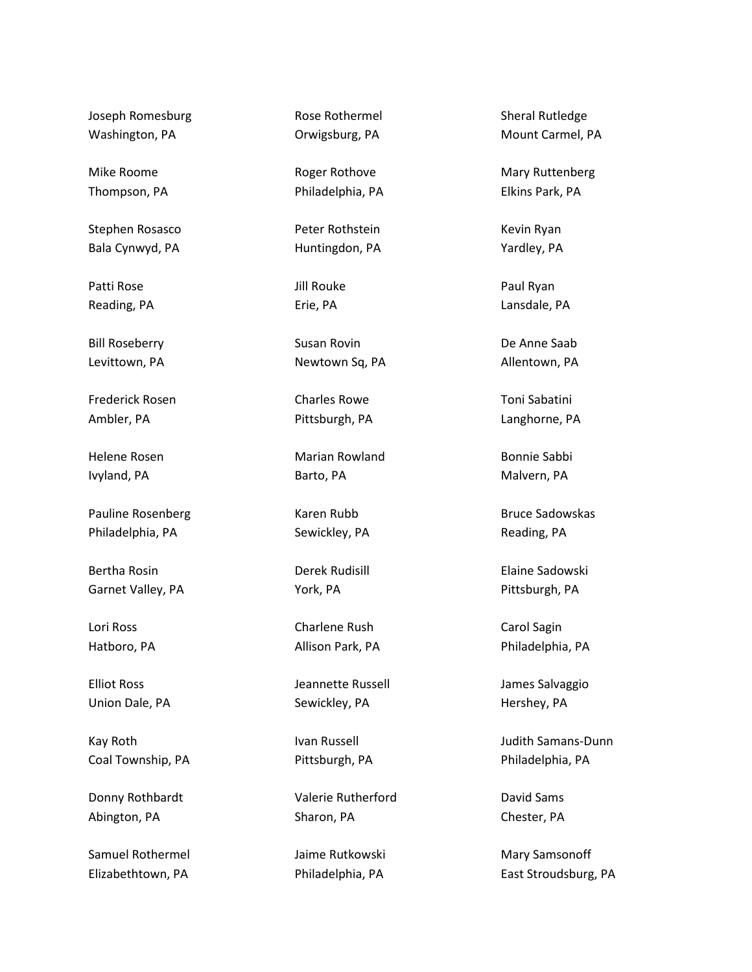Joseph Romesburg Washington, PA

Mike Roome Thompson, PA

Stephen Rosasco Bala Cynwyd, PA

Patti Rose Reading, PA

Bill Roseberry Levittown, PA

Frederick Rosen Ambler, PA

Helene Rosen Ivyland, PA

Pauline Rosenberg Philadelphia, PA

Bertha Rosin Garnet Valley, PA

Lori Ross Hatboro, PA

Elliot Ross Union Dale, PA

Kay Roth Coal Township, PA

Donny Rothbardt Abington, PA

Samuel Rothermel Elizabethtown, PA

Rose Rothermel Orwigsburg, PA

Roger Rothove Philadelphia, PA

Peter Rothstein Huntingdon, PA

Jill Rouke Erie, PA

Susan Rovin Newtown Sq, PA

Charles Rowe Pittsburgh, PA

Marian Rowland Barto, PA

Karen Rubb Sewickley, PA

Derek Rudisill York, PA

Charlene Rush Allison Park, PA

Jeannette Russell Sewickley, PA

Ivan Russell Pittsburgh, PA

Valerie Rutherford Sharon, PA

Jaime Rutkowski Philadelphia, PA

Sheral Rutledge Mount Carmel, PA

Mary Ruttenberg Elkins Park, PA

Kevin Ryan Yardley, PA

Paul Ryan Lansdale, PA

De Anne Saab Allentown, PA

Toni Sabatini Langhorne, PA

Bonnie Sabbi Malvern, PA

Bruce Sadowskas Reading, PA

Elaine Sadowski Pittsburgh, PA

Carol Sagin Philadelphia, PA

James Salvaggio Hershey, PA

Judith Samans-Dunn Philadelphia, PA

David Sams Chester, PA

Mary Samsonoff East Stroudsburg, PA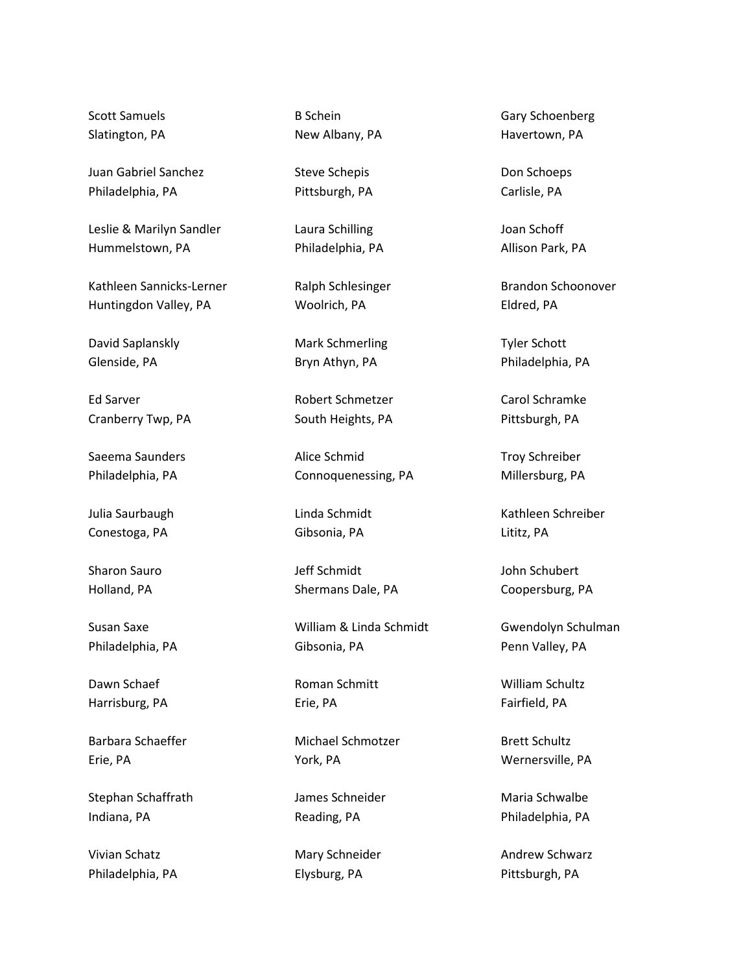Scott Samuels Slatington, PA

Juan Gabriel Sanchez Philadelphia, PA

Leslie & Marilyn Sandler Hummelstown, PA

Kathleen Sannicks-Lerner Huntingdon Valley, PA

David Saplanskly Glenside, PA

Ed Sarver Cranberry Twp, PA

Saeema Saunders Philadelphia, PA

Julia Saurbaugh Conestoga, PA

Sharon Sauro Holland, PA

Susan Saxe Philadelphia, PA

Dawn Schaef Harrisburg, PA

Barbara Schaeffer Erie, PA

Stephan Schaffrath Indiana, PA

Vivian Schatz Philadelphia, PA B Schein New Albany, PA

Steve Schepis Pittsburgh, PA

Laura Schilling Philadelphia, PA

Ralph Schlesinger Woolrich, PA

Mark Schmerling Bryn Athyn, PA

Robert Schmetzer South Heights, PA

Alice Schmid Connoquenessing, PA

Linda Schmidt Gibsonia, PA

Jeff Schmidt Shermans Dale, PA

William & Linda Schmidt Gibsonia, PA

Roman Schmitt Erie, PA

Michael Schmotzer York, PA

James Schneider Reading, PA

Mary Schneider Elysburg, PA

Gary Schoenberg Havertown, PA

Don Schoeps Carlisle, PA

Joan Schoff Allison Park, PA

Brandon Schoonover Eldred, PA

Tyler Schott Philadelphia, PA

Carol Schramke Pittsburgh, PA

Troy Schreiber Millersburg, PA

Kathleen Schreiber Lititz, PA

John Schubert Coopersburg, PA

Gwendolyn Schulman Penn Valley, PA

William Schultz Fairfield, PA

Brett Schultz Wernersville, PA

Maria Schwalbe Philadelphia, PA

Andrew Schwarz Pittsburgh, PA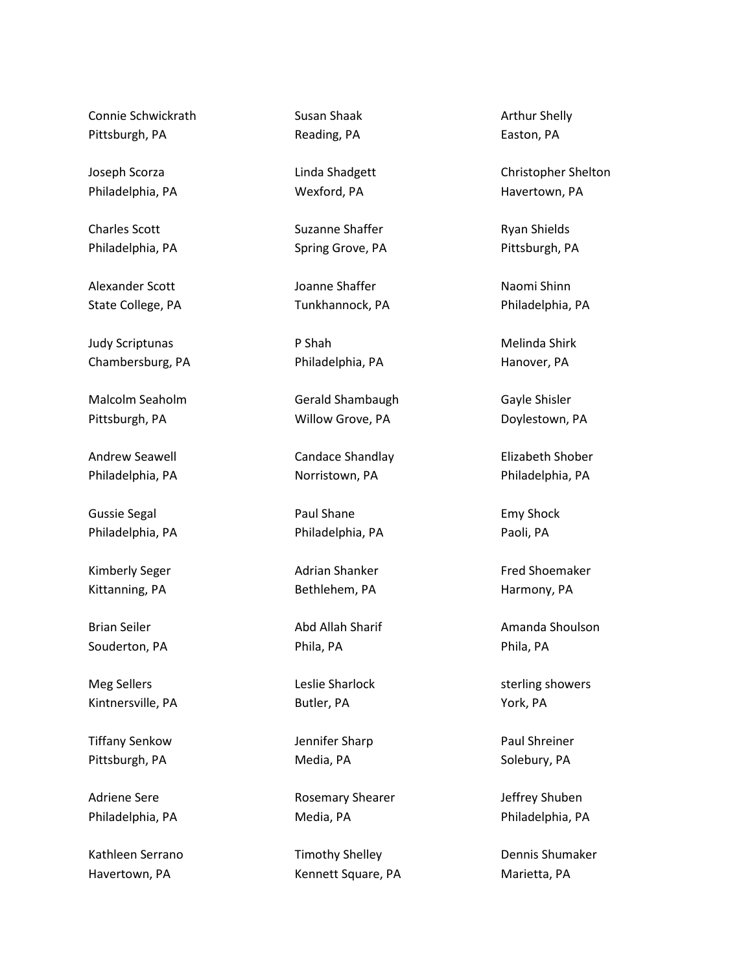Connie Schwickrath Pittsburgh, PA

Joseph Scorza Philadelphia, PA

Charles Scott Philadelphia, PA

Alexander Scott State College, PA

Judy Scriptunas Chambersburg, PA

Malcolm Seaholm Pittsburgh, PA

Andrew Seawell Philadelphia, PA

Gussie Segal Philadelphia, PA

Kimberly Seger Kittanning, PA

Brian Seiler Souderton, PA

Meg Sellers Kintnersville, PA

Tiffany Senkow Pittsburgh, PA

Adriene Sere Philadelphia, PA

Kathleen Serrano Havertown, PA

Susan Shaak Reading, PA

Linda Shadgett Wexford, PA

Suzanne Shaffer Spring Grove, PA

Joanne Shaffer Tunkhannock, PA

P Shah Philadelphia, PA

Gerald Shambaugh Willow Grove, PA

Candace Shandlay Norristown, PA

Paul Shane Philadelphia, PA

Adrian Shanker Bethlehem, PA

Abd Allah Sharif Phila, PA

Leslie Sharlock Butler, PA

Jennifer Sharp Media, PA

Rosemary Shearer Media, PA

Timothy Shelley Kennett Square, PA Arthur Shelly Easton, PA

Christopher Shelton Havertown, PA

Ryan Shields Pittsburgh, PA

Naomi Shinn Philadelphia, PA

Melinda Shirk Hanover, PA

Gayle Shisler Doylestown, PA

Elizabeth Shober Philadelphia, PA

Emy Shock Paoli, PA

Fred Shoemaker Harmony, PA

Amanda Shoulson Phila, PA

sterling showers York, PA

Paul Shreiner Solebury, PA

Jeffrey Shuben Philadelphia, PA

Dennis Shumaker Marietta, PA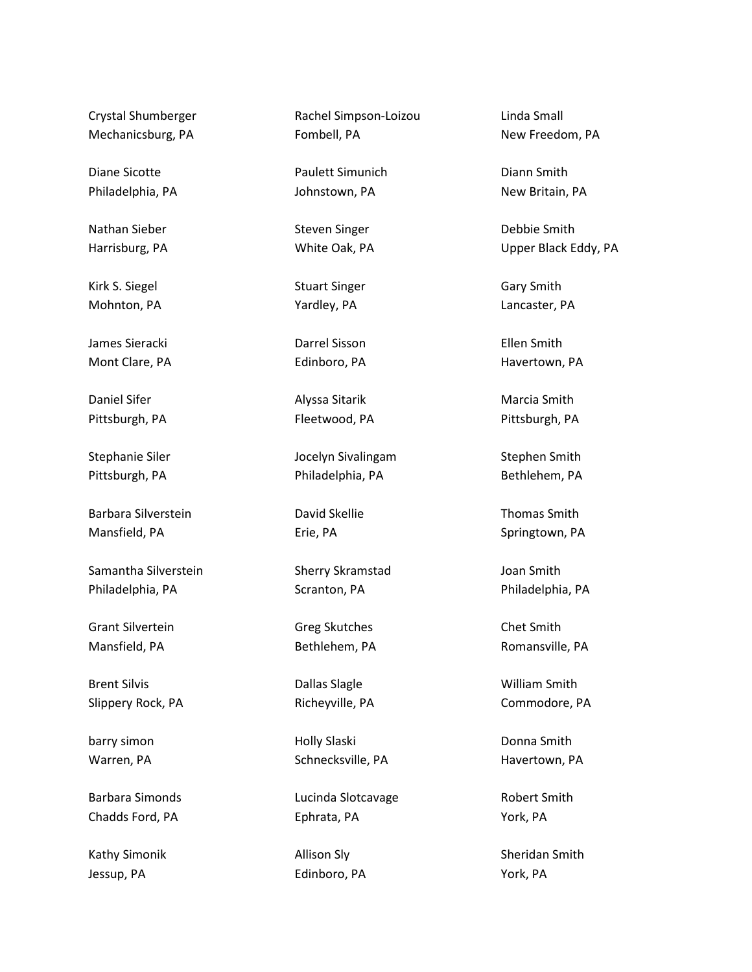Crystal Shumberger Mechanicsburg, PA

Diane Sicotte Philadelphia, PA

Nathan Sieber Harrisburg, PA

Kirk S. Siegel Mohnton, PA

James Sieracki Mont Clare, PA

Daniel Sifer Pittsburgh, PA

Stephanie Siler Pittsburgh, PA

Barbara Silverstein Mansfield, PA

Samantha Silverstein Philadelphia, PA

Grant Silvertein Mansfield, PA

Brent Silvis Slippery Rock, PA

barry simon Warren, PA

Barbara Simonds Chadds Ford, PA

Kathy Simonik Jessup, PA

Rachel Simpson-Loizou Fombell, PA

Paulett Simunich Johnstown, PA

Steven Singer White Oak, PA

Stuart Singer Yardley, PA

Darrel Sisson Edinboro, PA

Alyssa Sitarik Fleetwood, PA

Jocelyn Sivalingam Philadelphia, PA

David Skellie Erie, PA

Sherry Skramstad Scranton, PA

Greg Skutches Bethlehem, PA

Dallas Slagle Richeyville, PA

Holly Slaski Schnecksville, PA

Lucinda Slotcavage Ephrata, PA

Allison Sly Edinboro, PA Linda Small New Freedom, PA

Diann Smith New Britain, PA

Debbie Smith Upper Black Eddy, PA

Gary Smith Lancaster, PA

Ellen Smith Havertown, PA

Marcia Smith Pittsburgh, PA

Stephen Smith Bethlehem, PA

Thomas Smith Springtown, PA

Joan Smith Philadelphia, PA

Chet Smith Romansville, PA

William Smith Commodore, PA

Donna Smith Havertown, PA

Robert Smith York, PA

Sheridan Smith York, PA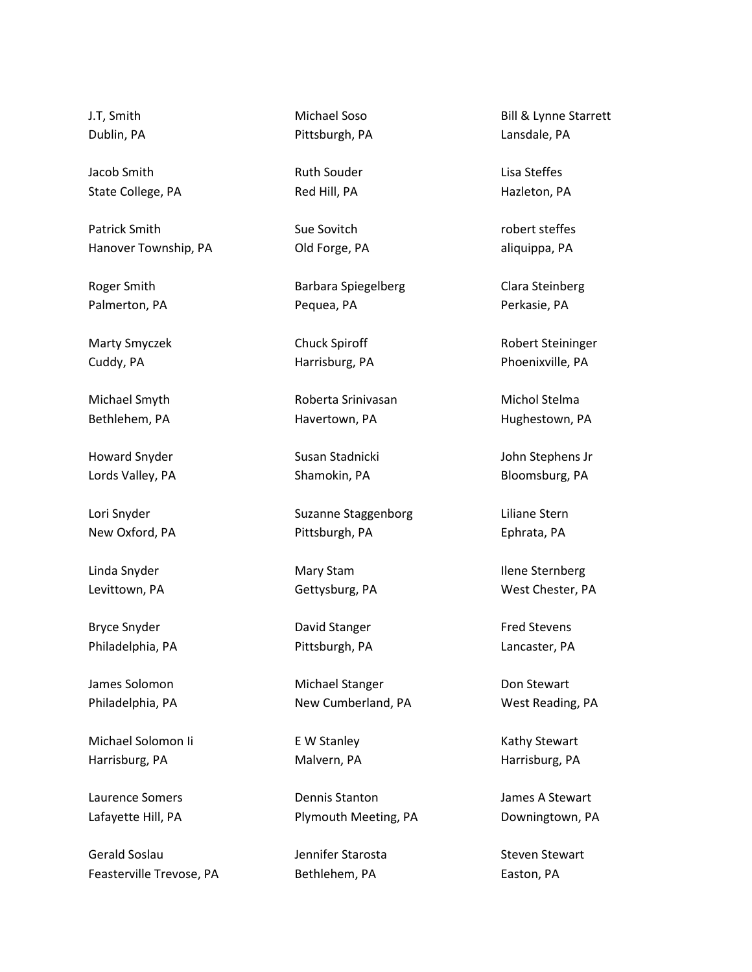J.T, Smith Dublin, PA

Jacob Smith State College, PA

Patrick Smith Hanover Township, PA

Roger Smith Palmerton, PA

Marty Smyczek Cuddy, PA

Michael Smyth Bethlehem, PA

Howard Snyder Lords Valley, PA

Lori Snyder New Oxford, PA

Linda Snyder Levittown, PA

Bryce Snyder Philadelphia, PA

James Solomon Philadelphia, PA

Michael Solomon Ii Harrisburg, PA

Laurence Somers Lafayette Hill, PA

Gerald Soslau Feasterville Trevose, PA Michael Soso Pittsburgh, PA

Ruth Souder Red Hill, PA

Sue Sovitch Old Forge, PA

Barbara Spiegelberg Pequea, PA

Chuck Spiroff Harrisburg, PA

Roberta Srinivasan Havertown, PA

Susan Stadnicki Shamokin, PA

Suzanne Staggenborg Pittsburgh, PA

Mary Stam Gettysburg, PA

David Stanger Pittsburgh, PA

Michael Stanger New Cumberland, PA

E W Stanley Malvern, PA

Dennis Stanton Plymouth Meeting, PA

Jennifer Starosta Bethlehem, PA

Bill & Lynne Starrett Lansdale, PA

Lisa Steffes Hazleton, PA

robert steffes aliquippa, PA

Clara Steinberg Perkasie, PA

Robert Steininger Phoenixville, PA

Michol Stelma Hughestown, PA

John Stephens Jr Bloomsburg, PA

Liliane Stern Ephrata, PA

Ilene Sternberg West Chester, PA

Fred Stevens Lancaster, PA

Don Stewart West Reading, PA

Kathy Stewart Harrisburg, PA

James A Stewart Downingtown, PA

Steven Stewart Easton, PA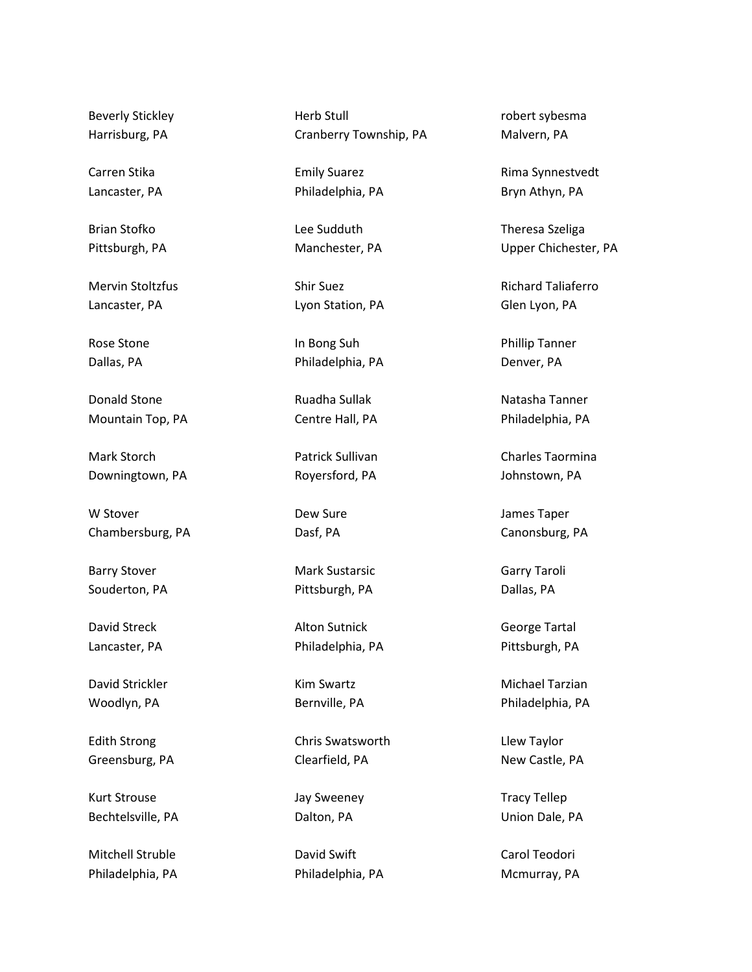Beverly Stickley Harrisburg, PA

Carren Stika Lancaster, PA

Brian Stofko Pittsburgh, PA

Mervin Stoltzfus Lancaster, PA

Rose Stone Dallas, PA

Donald Stone Mountain Top, PA

Mark Storch Downingtown, PA

W Stover Chambersburg, PA

Barry Stover Souderton, PA

David Streck Lancaster, PA

David Strickler Woodlyn, PA

Edith Strong Greensburg, PA

Kurt Strouse Bechtelsville, PA

Mitchell Struble Philadelphia, PA Herb Stull Cranberry Township, PA

Emily Suarez Philadelphia, PA

Lee Sudduth Manchester, PA

Shir Suez Lyon Station, PA

In Bong Suh Philadelphia, PA

Ruadha Sullak Centre Hall, PA

Patrick Sullivan Royersford, PA

Dew Sure Dasf, PA

Mark Sustarsic Pittsburgh, PA

Alton Sutnick Philadelphia, PA

Kim Swartz Bernville, PA

Chris Swatsworth Clearfield, PA

Jay Sweeney Dalton, PA

David Swift Philadelphia, PA robert sybesma Malvern, PA

Rima Synnestvedt Bryn Athyn, PA

Theresa Szeliga Upper Chichester, PA

Richard Taliaferro Glen Lyon, PA

Phillip Tanner Denver, PA

Natasha Tanner Philadelphia, PA

Charles Taormina Johnstown, PA

James Taper Canonsburg, PA

Garry Taroli Dallas, PA

George Tartal Pittsburgh, PA

Michael Tarzian Philadelphia, PA

Llew Taylor New Castle, PA

Tracy Tellep Union Dale, PA

Carol Teodori Mcmurray, PA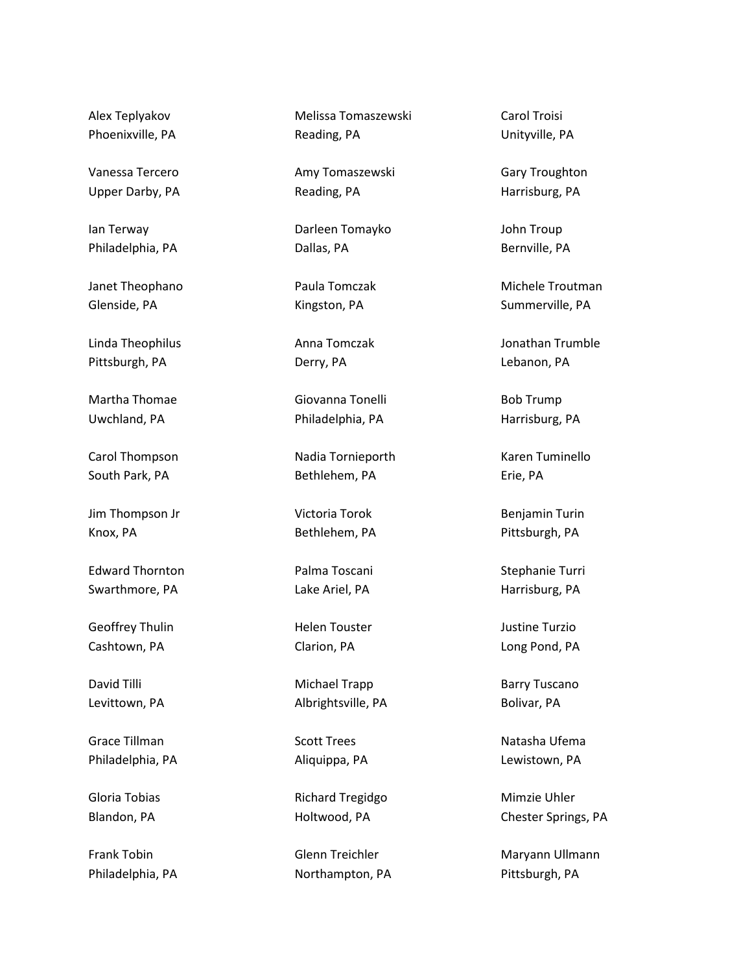Alex Teplyakov Phoenixville, PA

Vanessa Tercero Upper Darby, PA

Ian Terway Philadelphia, PA

Janet Theophano Glenside, PA

Linda Theophilus Pittsburgh, PA

Martha Thomae Uwchland, PA

Carol Thompson South Park, PA

Jim Thompson Jr Knox, PA

Edward Thornton Swarthmore, PA

Geoffrey Thulin Cashtown, PA

David Tilli Levittown, PA

Grace Tillman Philadelphia, PA

Gloria Tobias Blandon, PA

Frank Tobin Philadelphia, PA Melissa Tomaszewski Reading, PA

Amy Tomaszewski Reading, PA

Darleen Tomayko Dallas, PA

Paula Tomczak Kingston, PA

Anna Tomczak Derry, PA

Giovanna Tonelli Philadelphia, PA

Nadia Tornieporth Bethlehem, PA

Victoria Torok Bethlehem, PA

Palma Toscani Lake Ariel, PA

Helen Touster Clarion, PA

Michael Trapp Albrightsville, PA

Scott Trees Aliquippa, PA

Richard Tregidgo Holtwood, PA

Glenn Treichler Northampton, PA Carol Troisi Unityville, PA

Gary Troughton Harrisburg, PA

John Troup Bernville, PA

Michele Troutman Summerville, PA

Jonathan Trumble Lebanon, PA

Bob Trump Harrisburg, PA

Karen Tuminello Erie, PA

Benjamin Turin Pittsburgh, PA

Stephanie Turri Harrisburg, PA

Justine Turzio Long Pond, PA

Barry Tuscano Bolivar, PA

Natasha Ufema Lewistown, PA

Mimzie Uhler Chester Springs, PA

Maryann Ullmann Pittsburgh, PA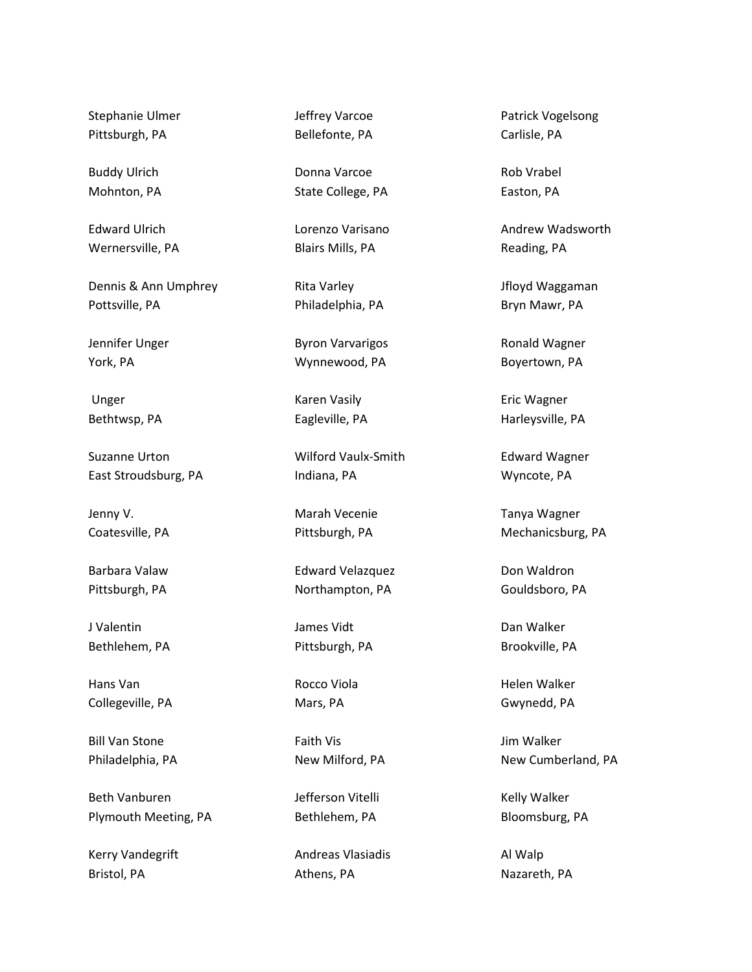Stephanie Ulmer Pittsburgh, PA

Buddy Ulrich Mohnton, PA

Edward Ulrich Wernersville, PA

Dennis & Ann Umphrey Pottsville, PA

Jennifer Unger York, PA

 Unger Bethtwsp, PA

Suzanne Urton East Stroudsburg, PA

Jenny V. Coatesville, PA

Barbara Valaw Pittsburgh, PA

J Valentin Bethlehem, PA

Hans Van Collegeville, PA

Bill Van Stone Philadelphia, PA

Beth Vanburen Plymouth Meeting, PA

Kerry Vandegrift Bristol, PA

Jeffrey Varcoe Bellefonte, PA

Donna Varcoe State College, PA

Lorenzo Varisano Blairs Mills, PA

Rita Varley Philadelphia, PA

Byron Varvarigos Wynnewood, PA

Karen Vasily Eagleville, PA

Wilford Vaulx-Smith Indiana, PA

Marah Vecenie Pittsburgh, PA

Edward Velazquez Northampton, PA

James Vidt Pittsburgh, PA

Rocco Viola Mars, PA

Faith Vis New Milford, PA

Jefferson Vitelli Bethlehem, PA

Andreas Vlasiadis Athens, PA

Patrick Vogelsong Carlisle, PA

Rob Vrabel Easton, PA

Andrew Wadsworth Reading, PA

Jfloyd Waggaman Bryn Mawr, PA

Ronald Wagner Boyertown, PA

Eric Wagner Harleysville, PA

Edward Wagner Wyncote, PA

Tanya Wagner Mechanicsburg, PA

Don Waldron Gouldsboro, PA

Dan Walker Brookville, PA

Helen Walker Gwynedd, PA

Jim Walker New Cumberland, PA

Kelly Walker Bloomsburg, PA

Al Walp Nazareth, PA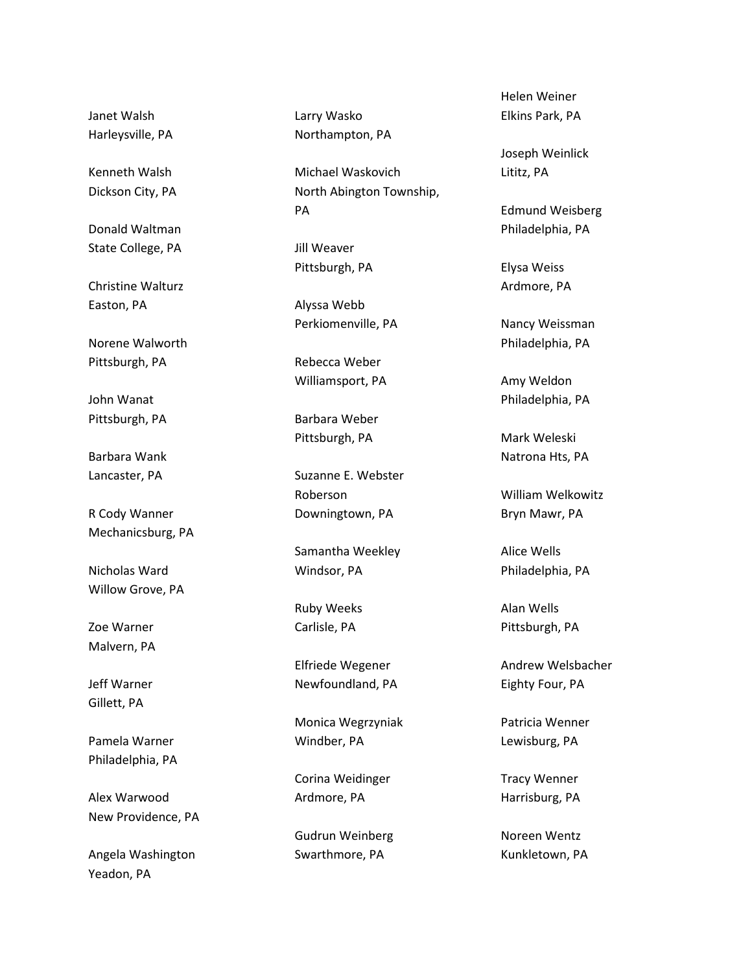Janet Walsh Harleysville, PA

Kenneth Walsh Dickson City, PA

Donald Waltman State College, PA

Christine Walturz Easton, PA

Norene Walworth Pittsburgh, PA

John Wanat Pittsburgh, PA

Barbara Wank Lancaster, PA

R Cody Wanner Mechanicsburg, PA

Nicholas Ward Willow Grove, PA

Zoe Warner Malvern, PA

Jeff Warner Gillett, PA

Pamela Warner Philadelphia, PA

Alex Warwood New Providence, PA

Angela Washington Yeadon, PA

Larry Wasko Northampton, PA

Michael Waskovich North Abington Township, PA

Jill Weaver Pittsburgh, PA

Alyssa Webb Perkiomenville, PA

Rebecca Weber Williamsport, PA

Barbara Weber Pittsburgh, PA

Suzanne E. Webster Roberson Downingtown, PA

Samantha Weekley Windsor, PA

Ruby Weeks Carlisle, PA

Elfriede Wegener Newfoundland, PA

Monica Wegrzyniak Windber, PA

Corina Weidinger Ardmore, PA

Gudrun Weinberg Swarthmore, PA

Helen Weiner Elkins Park, PA

Joseph Weinlick Lititz, PA

Edmund Weisberg Philadelphia, PA

Elysa Weiss Ardmore, PA

Nancy Weissman Philadelphia, PA

Amy Weldon Philadelphia, PA

Mark Weleski Natrona Hts, PA

William Welkowitz Bryn Mawr, PA

Alice Wells Philadelphia, PA

Alan Wells Pittsburgh, PA

Andrew Welsbacher Eighty Four, PA

Patricia Wenner Lewisburg, PA

Tracy Wenner Harrisburg, PA

Noreen Wentz Kunkletown, PA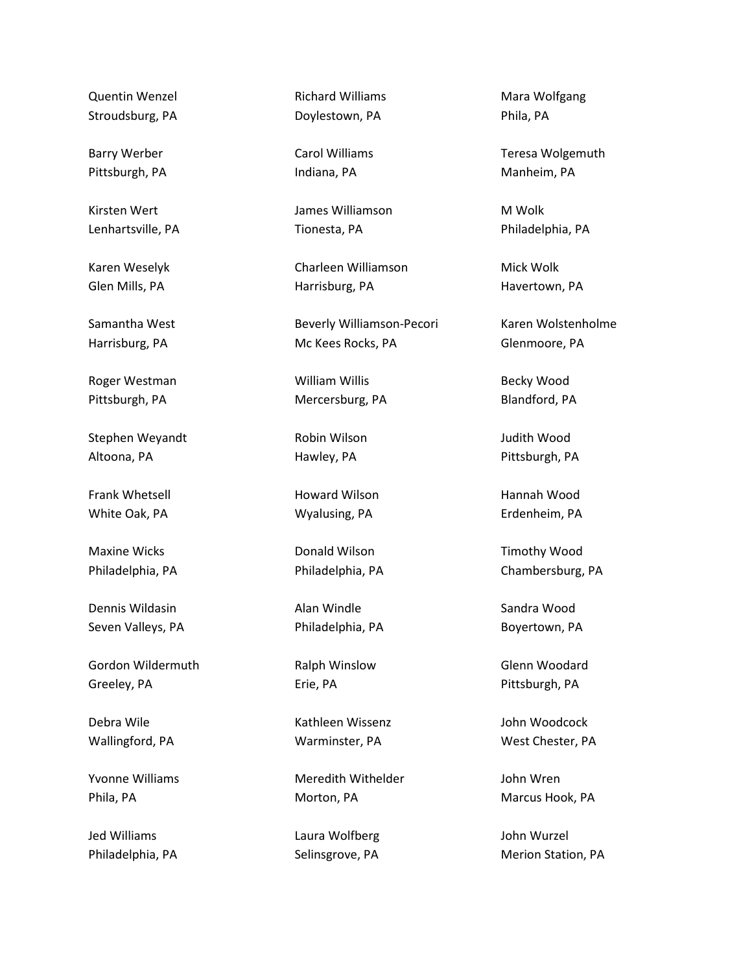Quentin Wenzel Stroudsburg, PA

Barry Werber Pittsburgh, PA

Kirsten Wert Lenhartsville, PA

Karen Weselyk Glen Mills, PA

Samantha West Harrisburg, PA

Roger Westman Pittsburgh, PA

Stephen Weyandt Altoona, PA

Frank Whetsell White Oak, PA

Maxine Wicks Philadelphia, PA

Dennis Wildasin Seven Valleys, PA

Gordon Wildermuth Greeley, PA

Debra Wile Wallingford, PA

Yvonne Williams Phila, PA

Jed Williams Philadelphia, PA Richard Williams Doylestown, PA

Carol Williams Indiana, PA

James Williamson Tionesta, PA

Charleen Williamson Harrisburg, PA

Beverly Williamson-Pecori Mc Kees Rocks, PA

William Willis Mercersburg, PA

Robin Wilson Hawley, PA

Howard Wilson Wyalusing, PA

Donald Wilson Philadelphia, PA

Alan Windle Philadelphia, PA

Ralph Winslow Erie, PA

Kathleen Wissenz Warminster, PA

Meredith Withelder Morton, PA

Laura Wolfberg Selinsgrove, PA

Mara Wolfgang Phila, PA

Teresa Wolgemuth Manheim, PA

M Wolk Philadelphia, PA

Mick Wolk Havertown, PA

Karen Wolstenholme Glenmoore, PA

Becky Wood Blandford, PA

Judith Wood Pittsburgh, PA

Hannah Wood Erdenheim, PA

Timothy Wood Chambersburg, PA

Sandra Wood Boyertown, PA

Glenn Woodard Pittsburgh, PA

John Woodcock West Chester, PA

John Wren Marcus Hook, PA

John Wurzel Merion Station, PA